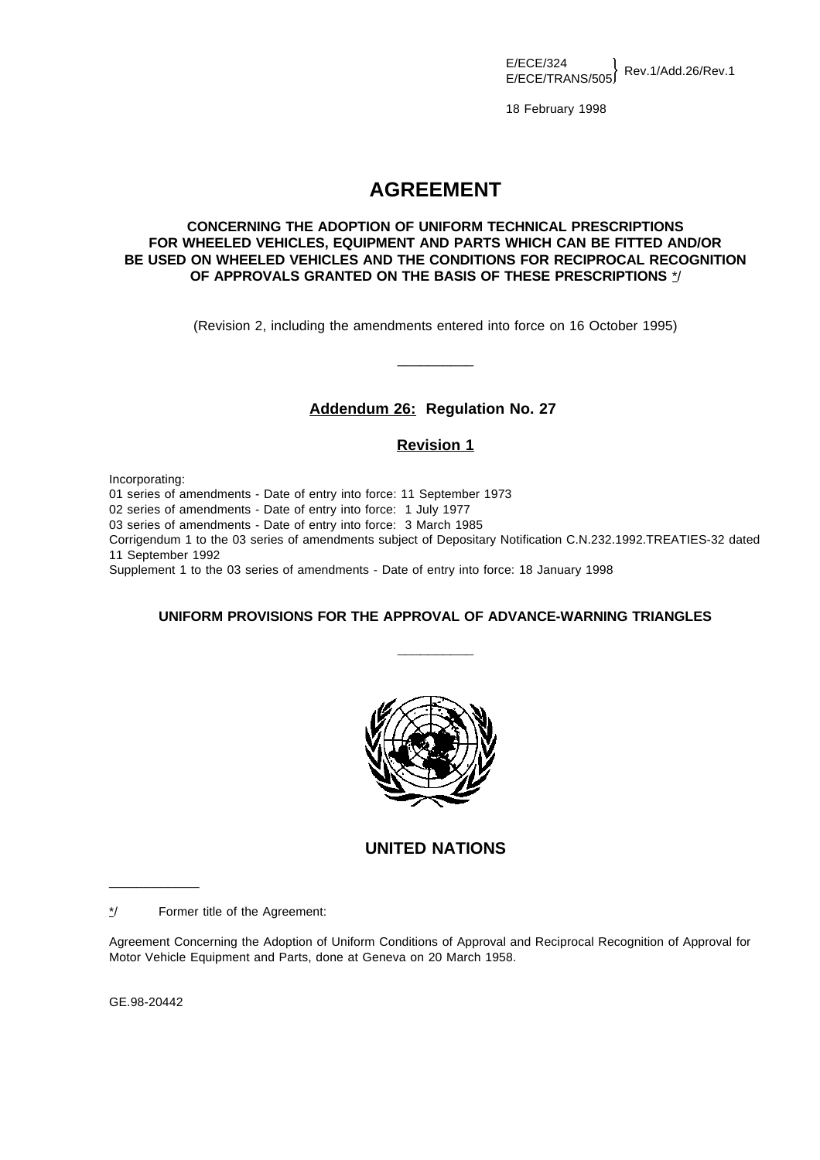$E/ECE/324$ <br> $E/ECE/TRANS/505$  Rev.1/Add.26/Rev.1

18 February 1998

## **AGREEMENT**

## **CONCERNING THE ADOPTION OF UNIFORM TECHNICAL PRESCRIPTIONS FOR WHEELED VEHICLES, EQUIPMENT AND PARTS WHICH CAN BE FITTED AND/OR BE USED ON WHEELED VEHICLES AND THE CONDITIONS FOR RECIPROCAL RECOGNITION OF APPROVALS GRANTED ON THE BASIS OF THESE PRESCRIPTIONS** \*/

(Revision 2, including the amendments entered into force on 16 October 1995)

\_\_\_\_\_\_\_\_\_\_

## **Addendum 26: Regulation No. 27**

## **Revision 1**

Incorporating:

01 series of amendments - Date of entry into force: 11 September 1973

02 series of amendments - Date of entry into force: 1 July 1977

03 series of amendments - Date of entry into force: 3 March 1985

Corrigendum 1 to the 03 series of amendments subject of Depositary Notification C.N.232.1992.TREATIES-32 dated 11 September 1992

Supplement 1 to the 03 series of amendments - Date of entry into force: 18 January 1998

## **UNIFORM PROVISIONS FOR THE APPROVAL OF ADVANCE-WARNING TRIANGLES**

**\_\_\_\_\_\_\_\_\_\_**



## **UNITED NATIONS**

\*/ Former title of the Agreement:

Agreement Concerning the Adoption of Uniform Conditions of Approval and Reciprocal Recognition of Approval for Motor Vehicle Equipment and Parts, done at Geneva on 20 March 1958.

GE.98-20442

\_\_\_\_\_\_\_\_\_\_\_\_\_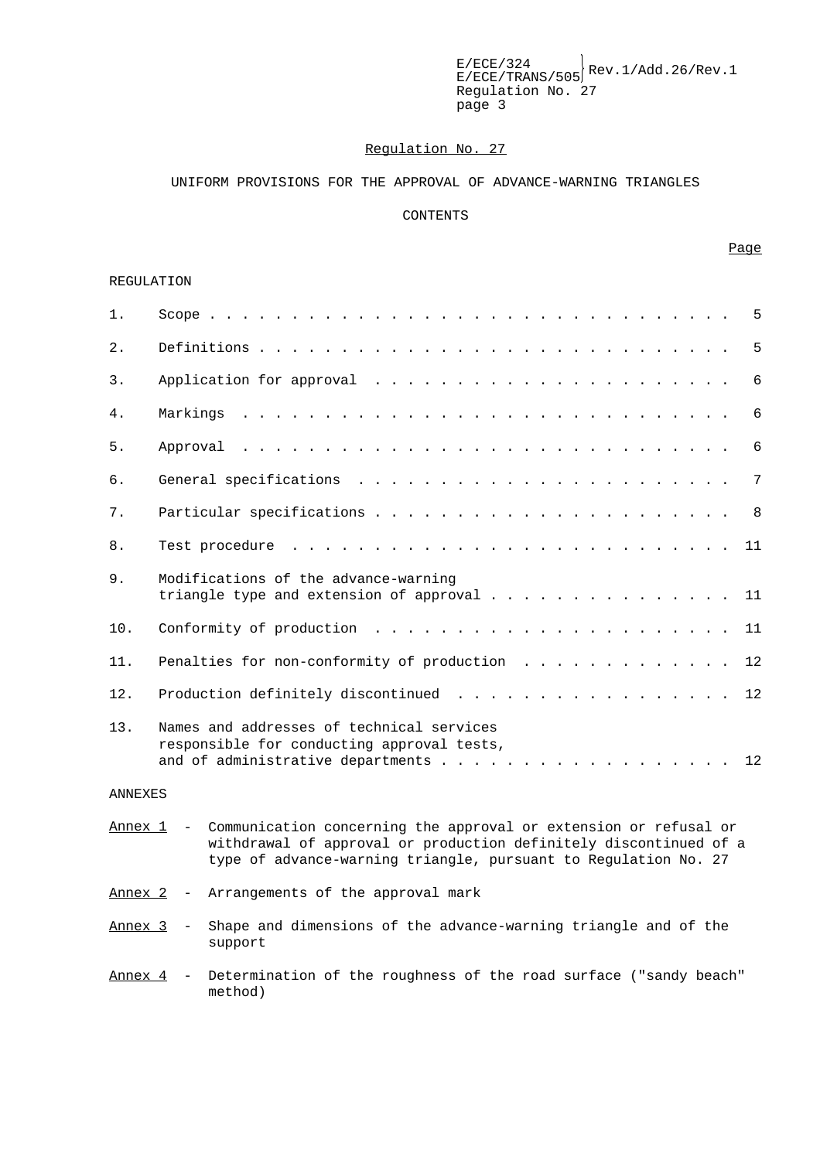$E/ECE/324$ <br> $E/ECE/TRANS/505$ <sup>Rev.1/Add.26/Rev.1</sup> Regulation No. 27 page 3

#### Regulation No. 27

#### UNIFORM PROVISIONS FOR THE APPROVAL OF ADVANCE-WARNING TRIANGLES

#### CONTENTS

#### Page

#### REGULATION

| $1$ .   | $5^{\circ}$                                                                                                                           |
|---------|---------------------------------------------------------------------------------------------------------------------------------------|
| $2$ .   | 5                                                                                                                                     |
| 3.      | 6                                                                                                                                     |
| 4.      | 6                                                                                                                                     |
| 5.      | 6                                                                                                                                     |
| 6.      | $7\phantom{.0}$                                                                                                                       |
| 7.      | 8                                                                                                                                     |
| 8.      | 11                                                                                                                                    |
| 9.      | Modifications of the advance-warning<br>triangle type and extension of approval 11                                                    |
| 10.     | <u>. A car a car a car a car a car a car a car a car a car a c</u><br>Conformity of production<br>11                                  |
| 11.     | Penalties for non-conformity of production<br>12                                                                                      |
| 12.     | Production definitely discontinued<br>12                                                                                              |
| 13.     | Names and addresses of technical services<br>responsible for conducting approval tests,<br>and of administrative departments 12       |
| ANNEXES |                                                                                                                                       |
| Annex 1 | Communication concerning the approval or extension or refusal or<br>withdrawal of approval or production definitely discontinued of a |

Annex 2 - Arrangements of the approval mark

Annex 3 - Shape and dimensions of the advance-warning triangle and of the support

type of advance-warning triangle, pursuant to Regulation No. 27

Annex 4 - Determination of the roughness of the road surface ("sandy beach" method)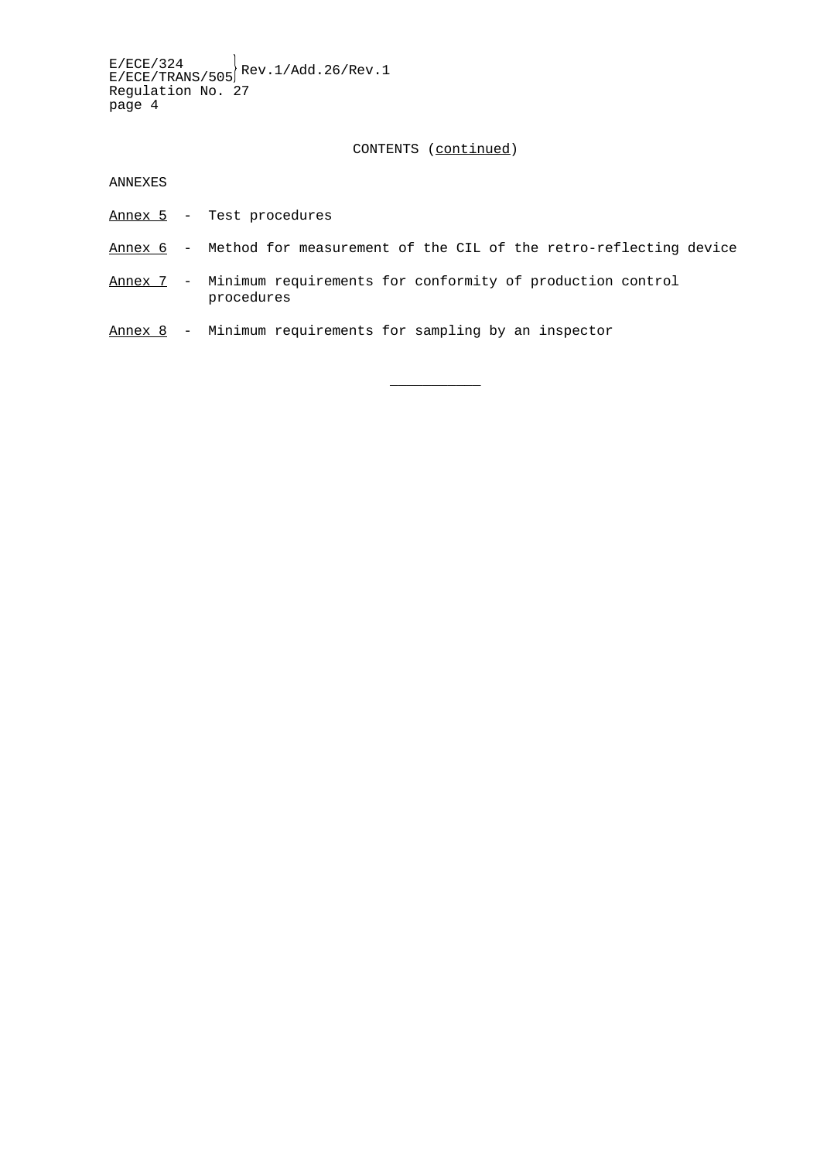$E/ECE/324$ <br> $E/ECE/TRANS/505$ <sup>Rev.1/Add.26/Rev.1</sup> Regulation No. 27 page 4

CONTENTS (continued)

ANNEXES

- Annex 5 Test procedures
- Annex 6 Method for measurement of the CIL of the retro-reflecting device

 $\overline{\phantom{a}}$ 

- Annex 7 Minimum requirements for conformity of production control procedures
- Annex 8 Minimum requirements for sampling by an inspector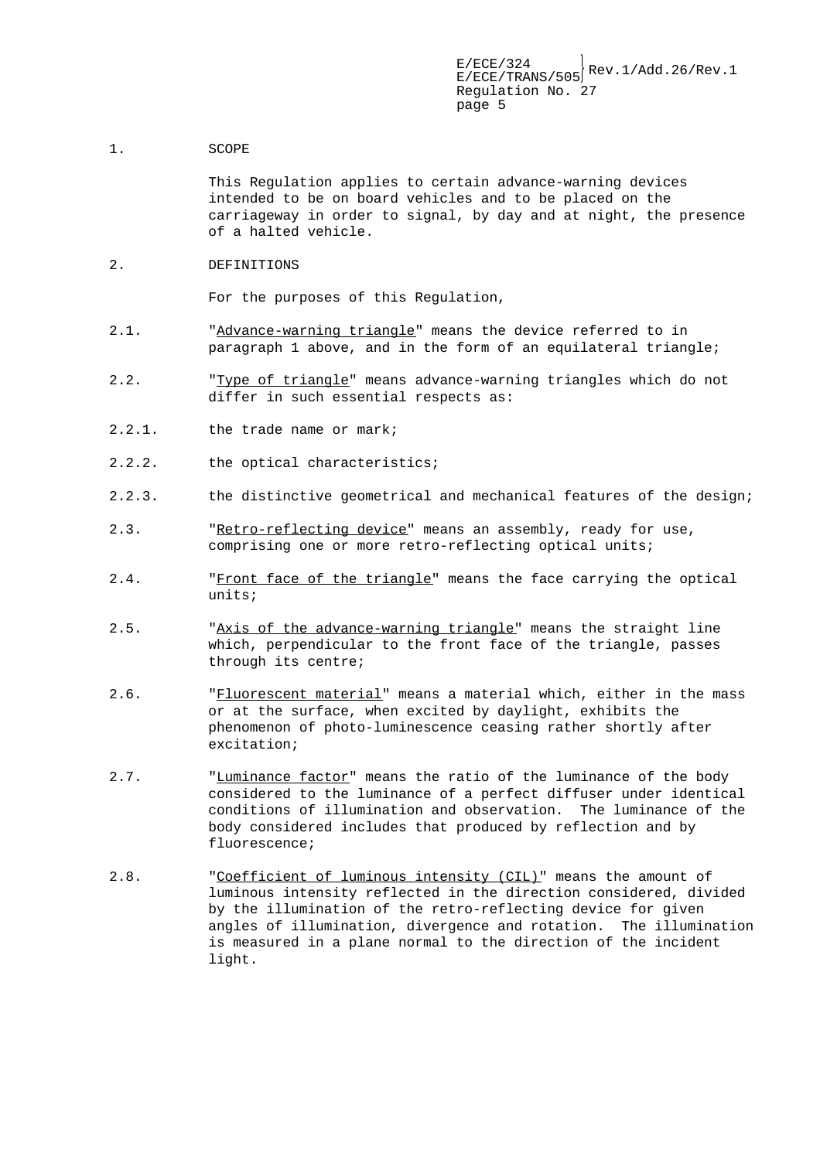#### 1. SCOPE

This Regulation applies to certain advance-warning devices intended to be on board vehicles and to be placed on the carriageway in order to signal, by day and at night, the presence of a halted vehicle.

2. DEFINITIONS

For the purposes of this Regulation,

- 2.1. "Advance-warning triangle" means the device referred to in paragraph 1 above, and in the form of an equilateral triangle;
- 2.2. "Type of triangle" means advance-warning triangles which do not differ in such essential respects as:
- 2.2.1. the trade name or mark;
- 2.2.2. the optical characteristics;
- 2.2.3. the distinctive geometrical and mechanical features of the design;
- 2.3. "Retro-reflecting device" means an assembly, ready for use, comprising one or more retro-reflecting optical units;
- 2.4. "Front face of the triangle" means the face carrying the optical units;
- 2.5. "Axis of the advance-warning triangle" means the straight line which, perpendicular to the front face of the triangle, passes through its centre;
- 2.6. "Fluorescent material" means a material which, either in the mass or at the surface, when excited by daylight, exhibits the phenomenon of photo-luminescence ceasing rather shortly after excitation;
- 2.7. "Luminance factor" means the ratio of the luminance of the body considered to the luminance of a perfect diffuser under identical conditions of illumination and observation. The luminance of the body considered includes that produced by reflection and by fluorescence;
- 2.8. "Coefficient of luminous intensity (CIL)" means the amount of luminous intensity reflected in the direction considered, divided by the illumination of the retro-reflecting device for given angles of illumination, divergence and rotation. The illumination is measured in a plane normal to the direction of the incident light.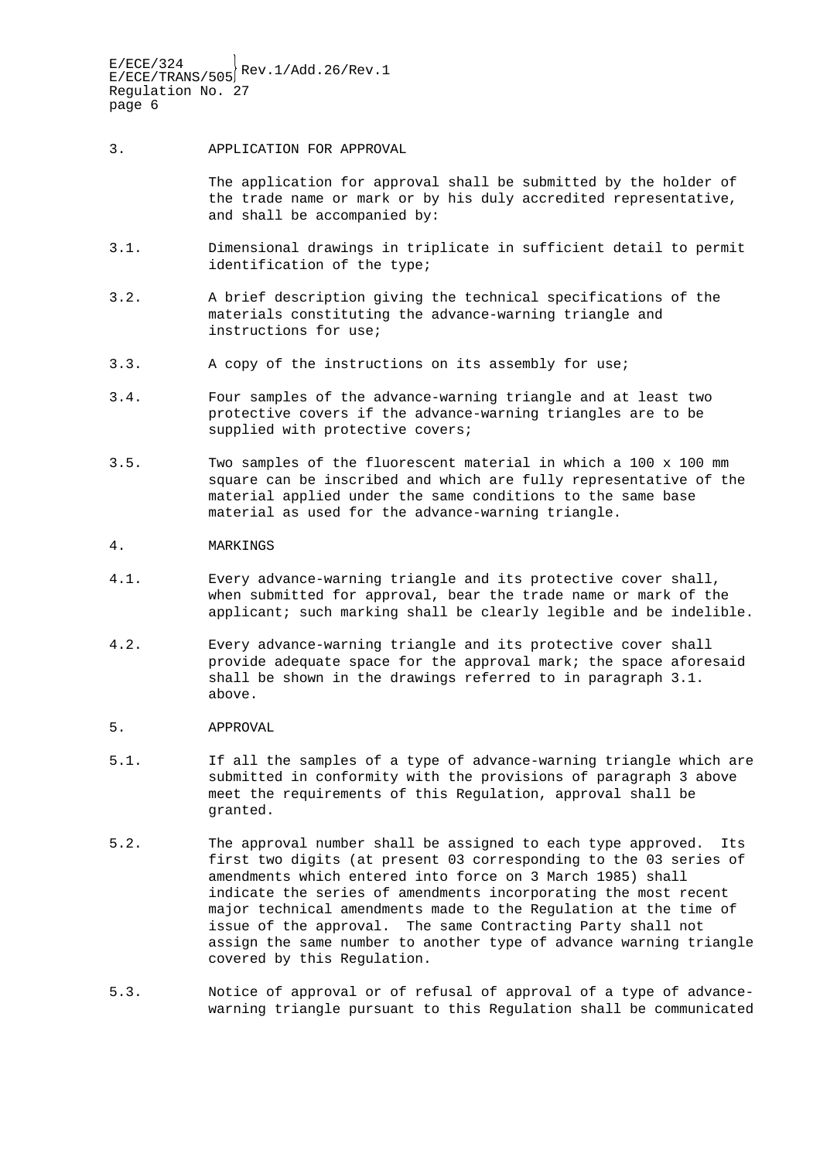#### 3. APPLICATION FOR APPROVAL

The application for approval shall be submitted by the holder of the trade name or mark or by his duly accredited representative, and shall be accompanied by:

- 3.1. Dimensional drawings in triplicate in sufficient detail to permit identification of the type;
- 3.2. A brief description giving the technical specifications of the materials constituting the advance-warning triangle and instructions for use;
- 3.3. A copy of the instructions on its assembly for use;
- 3.4. Four samples of the advance-warning triangle and at least two protective covers if the advance-warning triangles are to be supplied with protective covers;
- 3.5. Two samples of the fluorescent material in which a 100 x 100 mm square can be inscribed and which are fully representative of the material applied under the same conditions to the same base material as used for the advance-warning triangle.

#### 4. MARKINGS

- 4.1. Every advance-warning triangle and its protective cover shall, when submitted for approval, bear the trade name or mark of the applicant; such marking shall be clearly legible and be indelible.
- 4.2. Every advance-warning triangle and its protective cover shall provide adequate space for the approval mark; the space aforesaid shall be shown in the drawings referred to in paragraph 3.1. above.
- 5. APPROVAL
- 5.1. If all the samples of a type of advance-warning triangle which are submitted in conformity with the provisions of paragraph 3 above meet the requirements of this Regulation, approval shall be granted.
- 5.2. The approval number shall be assigned to each type approved. Its first two digits (at present 03 corresponding to the 03 series of amendments which entered into force on 3 March 1985) shall indicate the series of amendments incorporating the most recent major technical amendments made to the Regulation at the time of issue of the approval. The same Contracting Party shall not assign the same number to another type of advance warning triangle covered by this Regulation.
- 5.3. Notice of approval or of refusal of approval of a type of advancewarning triangle pursuant to this Regulation shall be communicated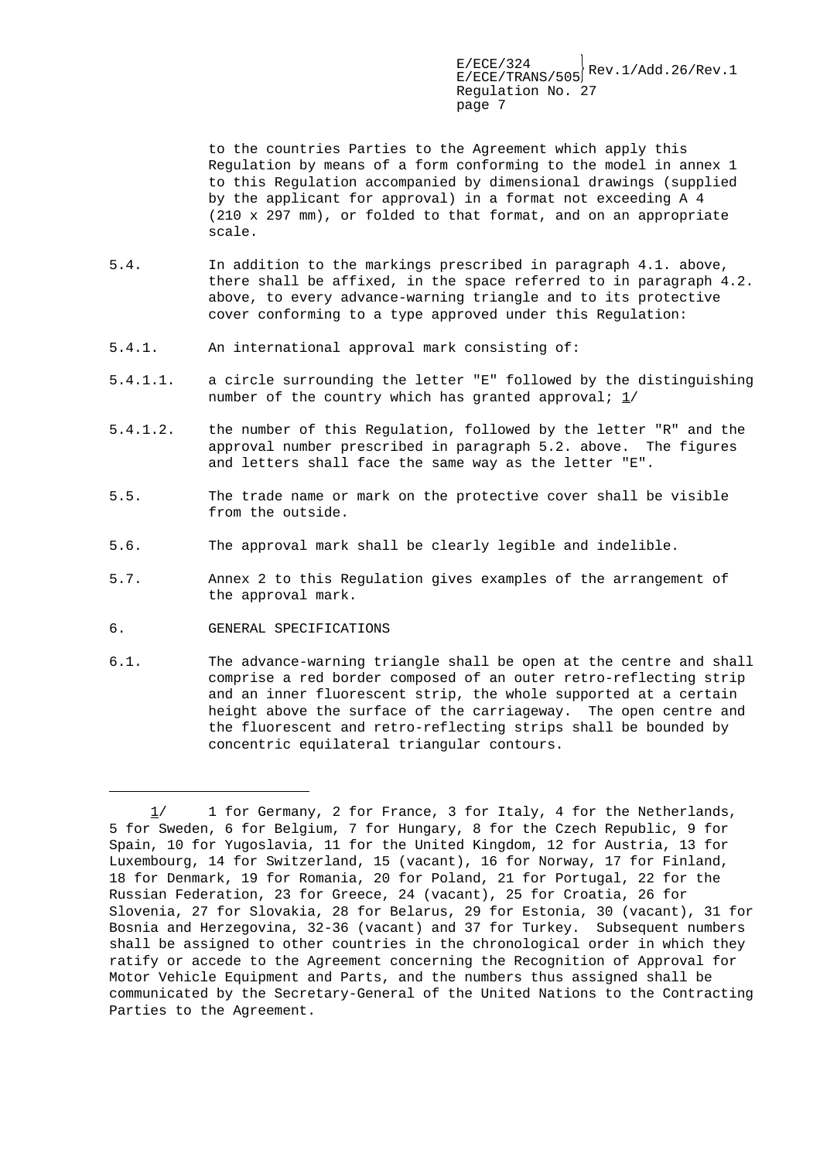to the countries Parties to the Agreement which apply this Regulation by means of a form conforming to the model in annex 1 to this Regulation accompanied by dimensional drawings (supplied by the applicant for approval) in a format not exceeding A 4 (210 x 297 mm), or folded to that format, and on an appropriate scale.

- 5.4. In addition to the markings prescribed in paragraph 4.1. above, there shall be affixed, in the space referred to in paragraph 4.2. above, to every advance-warning triangle and to its protective cover conforming to a type approved under this Regulation:
- 5.4.1. An international approval mark consisting of:
- 5.4.1.1. a circle surrounding the letter "E" followed by the distinguishing number of the country which has granted approval;  $1/$
- 5.4.1.2. the number of this Regulation, followed by the letter "R" and the approval number prescribed in paragraph 5.2. above. The figures and letters shall face the same way as the letter "E".
- 5.5. The trade name or mark on the protective cover shall be visible from the outside.
- 5.6. The approval mark shall be clearly legible and indelible.
- 5.7. Annex 2 to this Regulation gives examples of the arrangement of the approval mark.
- 6. GENERAL SPECIFICATIONS

 $\overline{a}$ 

6.1. The advance-warning triangle shall be open at the centre and shall comprise a red border composed of an outer retro-reflecting strip and an inner fluorescent strip, the whole supported at a certain height above the surface of the carriageway. The open centre and the fluorescent and retro-reflecting strips shall be bounded by concentric equilateral triangular contours.

 <sup>1/</sup> 1 for Germany, 2 for France, 3 for Italy, 4 for the Netherlands, 5 for Sweden, 6 for Belgium, 7 for Hungary, 8 for the Czech Republic, 9 for Spain, 10 for Yugoslavia, 11 for the United Kingdom, 12 for Austria, 13 for Luxembourg, 14 for Switzerland, 15 (vacant), 16 for Norway, 17 for Finland, 18 for Denmark, 19 for Romania, 20 for Poland, 21 for Portugal, 22 for the Russian Federation, 23 for Greece, 24 (vacant), 25 for Croatia, 26 for Slovenia, 27 for Slovakia, 28 for Belarus, 29 for Estonia, 30 (vacant), 31 for Bosnia and Herzegovina, 32-36 (vacant) and 37 for Turkey. Subsequent numbers shall be assigned to other countries in the chronological order in which they ratify or accede to the Agreement concerning the Recognition of Approval for Motor Vehicle Equipment and Parts, and the numbers thus assigned shall be communicated by the Secretary-General of the United Nations to the Contracting Parties to the Agreement.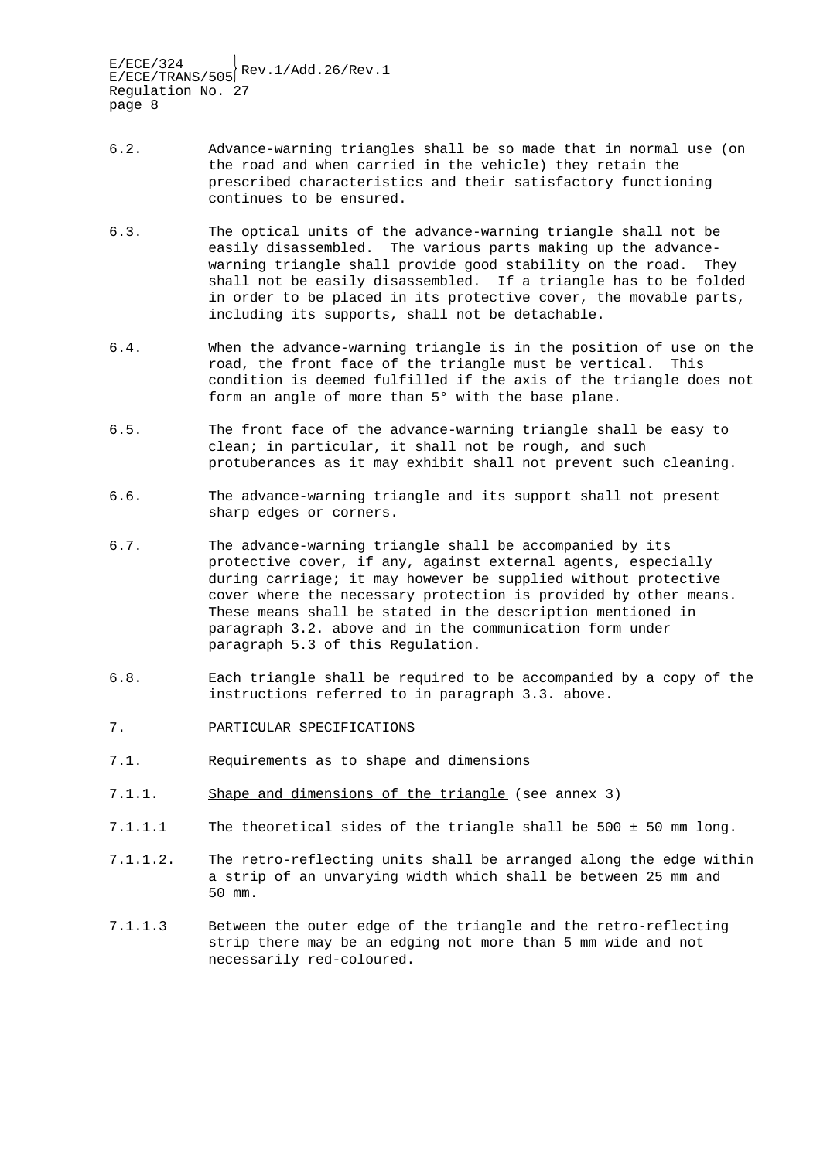- 6.2. Advance-warning triangles shall be so made that in normal use (on the road and when carried in the vehicle) they retain the prescribed characteristics and their satisfactory functioning continues to be ensured.
- 6.3. The optical units of the advance-warning triangle shall not be easily disassembled. The various parts making up the advancewarning triangle shall provide good stability on the road. They shall not be easily disassembled. If a triangle has to be folded in order to be placed in its protective cover, the movable parts, including its supports, shall not be detachable.
- 6.4. When the advance-warning triangle is in the position of use on the road, the front face of the triangle must be vertical. This condition is deemed fulfilled if the axis of the triangle does not form an angle of more than 5° with the base plane.
- 6.5. The front face of the advance-warning triangle shall be easy to clean; in particular, it shall not be rough, and such protuberances as it may exhibit shall not prevent such cleaning.
- 6.6. The advance-warning triangle and its support shall not present sharp edges or corners.
- 6.7. The advance-warning triangle shall be accompanied by its protective cover, if any, against external agents, especially during carriage; it may however be supplied without protective cover where the necessary protection is provided by other means. These means shall be stated in the description mentioned in paragraph 3.2. above and in the communication form under paragraph 5.3 of this Regulation.
- 6.8. Each triangle shall be required to be accompanied by a copy of the instructions referred to in paragraph 3.3. above.
- 7. PARTICULAR SPECIFICATIONS
- 7.1. Requirements as to shape and dimensions
- 7.1.1. Shape and dimensions of the triangle (see annex 3)
- 7.1.1.1 The theoretical sides of the triangle shall be 500 ± 50 mm long.
- 7.1.1.2. The retro-reflecting units shall be arranged along the edge within a strip of an unvarying width which shall be between 25 mm and 50 mm.
- 7.1.1.3 Between the outer edge of the triangle and the retro-reflecting strip there may be an edging not more than 5 mm wide and not necessarily red-coloured.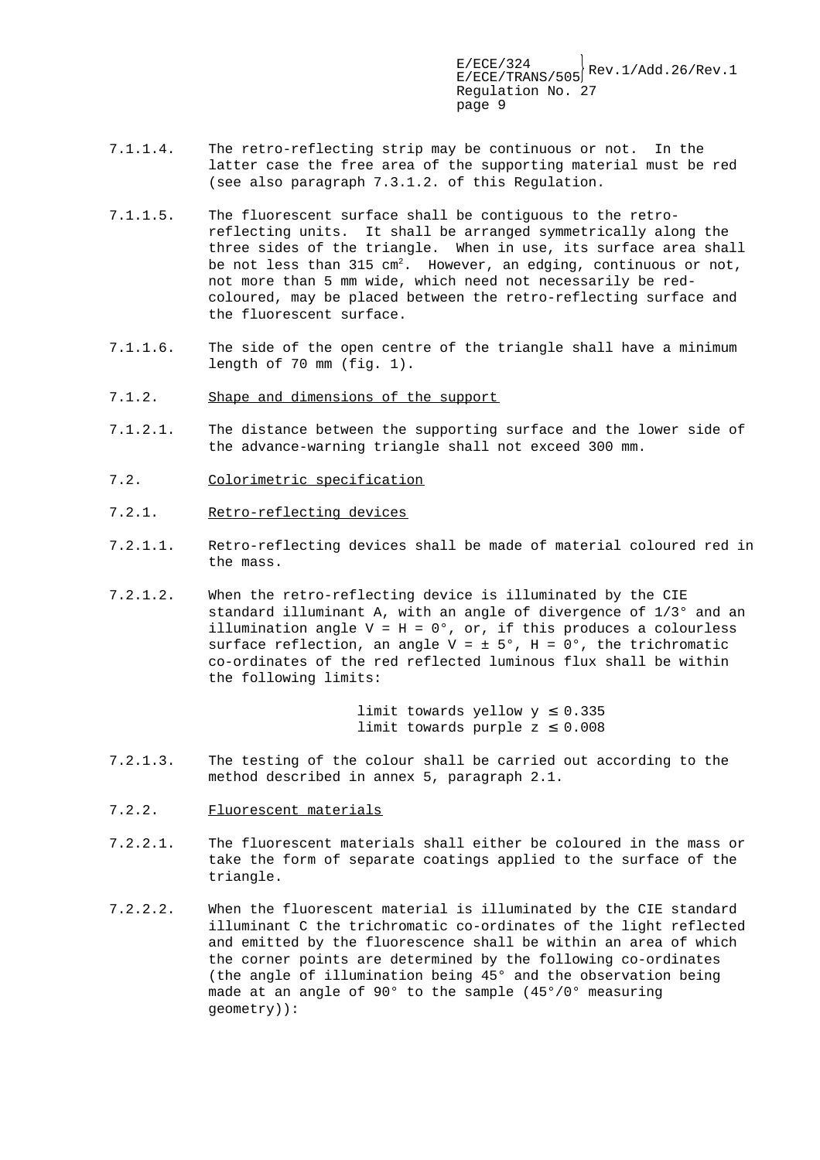- 7.1.1.4. The retro-reflecting strip may be continuous or not. In the latter case the free area of the supporting material must be red (see also paragraph 7.3.1.2. of this Regulation.
- 7.1.1.5. The fluorescent surface shall be contiguous to the retroreflecting units. It shall be arranged symmetrically along the three sides of the triangle. When in use, its surface area shall be not less than  $315 \text{ cm}^2$ . However, an edging, continuous or not, not more than 5 mm wide, which need not necessarily be redcoloured, may be placed between the retro-reflecting surface and the fluorescent surface.
- 7.1.1.6. The side of the open centre of the triangle shall have a minimum length of 70 mm (fig. 1).
- 7.1.2. Shape and dimensions of the support
- 7.1.2.1. The distance between the supporting surface and the lower side of the advance-warning triangle shall not exceed 300 mm.
- 7.2. Colorimetric specification
- 7.2.1. Retro-reflecting devices
- 7.2.1.1. Retro-reflecting devices shall be made of material coloured red in the mass.
- 7.2.1.2. When the retro-reflecting device is illuminated by the CIE standard illuminant A, with an angle of divergence of 1/3° and an illumination angle  $V = H = 0^\circ$ , or, if this produces a colourless surface reflection, an angle  $V = \pm 5^{\circ}$ , H = 0°, the trichromatic co-ordinates of the red reflected luminous flux shall be within the following limits:

limit towards yellow  $y \leq 0.335$ limit towards purple  $z \leq 0.008$ 

- 7.2.1.3. The testing of the colour shall be carried out according to the method described in annex 5, paragraph 2.1.
- 7.2.2. Fluorescent materials
- 7.2.2.1. The fluorescent materials shall either be coloured in the mass or take the form of separate coatings applied to the surface of the triangle.
- 7.2.2.2. When the fluorescent material is illuminated by the CIE standard illuminant C the trichromatic co-ordinates of the light reflected and emitted by the fluorescence shall be within an area of which the corner points are determined by the following co-ordinates (the angle of illumination being 45° and the observation being made at an angle of 90° to the sample (45°/0° measuring geometry)):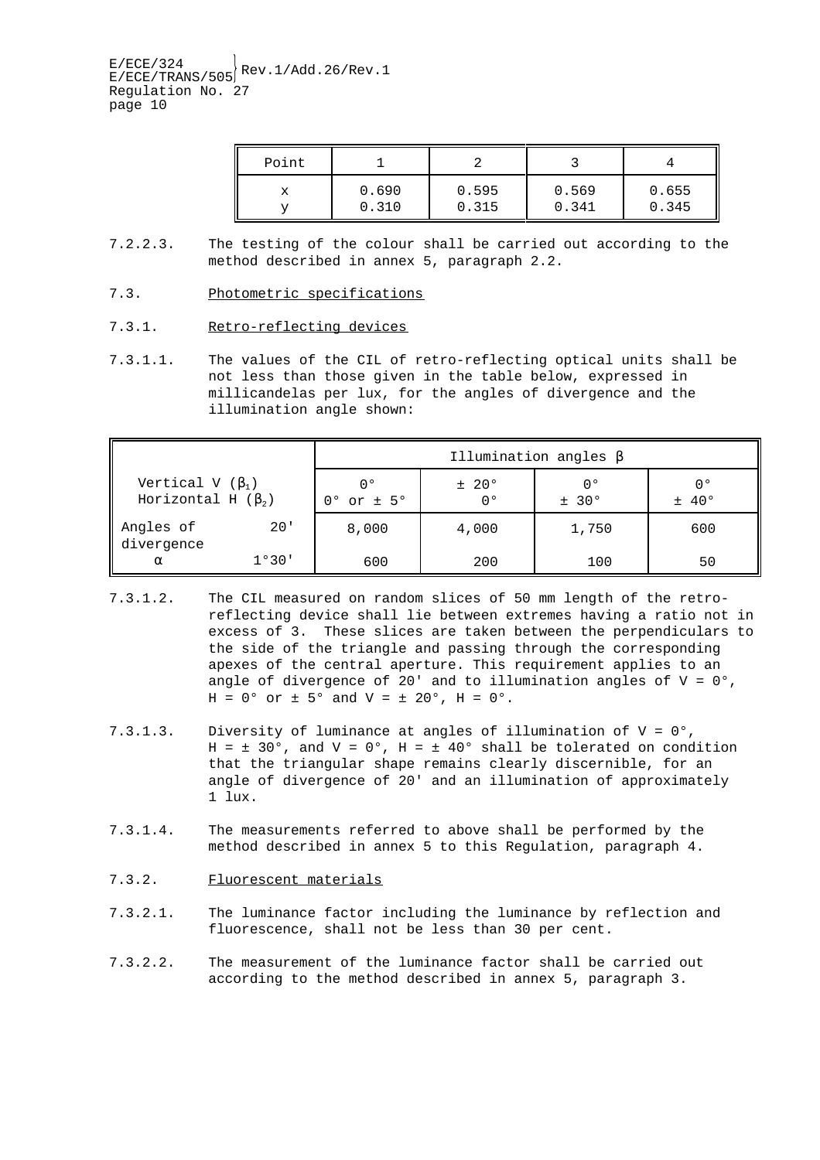| Point |       |       |       |       |
|-------|-------|-------|-------|-------|
| х     | 0.690 | 0.595 | 0.569 | 0.655 |
|       | 0.310 | 0.315 | .341  | 0.345 |

- 7.2.2.3. The testing of the colour shall be carried out according to the method described in annex 5, paragraph 2.2.
- 7.3. Photometric specifications
- 7.3.1. Retro-reflecting devices
- 7.3.1.1. The values of the CIL of retro-reflecting optical units shall be not less than those given in the table below, expressed in millicandelas per lux, for the angles of divergence and the illumination angle shown:

| Illumination angles $\beta$                        |       |                               |             |              |             |  |  |
|----------------------------------------------------|-------|-------------------------------|-------------|--------------|-------------|--|--|
| Vertical V $(\beta_1)$<br>Horizontal H $(\beta_2)$ |       | 0°<br>$0^{\circ}$ or $\pm$ 5° | ± 20°<br>n° | n °<br>± 30° | 00<br>± 40° |  |  |
| Angles of<br>divergence                            | 20'   | 8,000                         | 4,000       | 1,750        | 600         |  |  |
| $\alpha$                                           | 1°30' | 600                           | 200         | 100          | 50          |  |  |

- 7.3.1.2. The CIL measured on random slices of 50 mm length of the retroreflecting device shall lie between extremes having a ratio not in excess of 3. These slices are taken between the perpendiculars to the side of the triangle and passing through the corresponding apexes of the central aperture. This requirement applies to an angle of divergence of 20' and to illumination angles of  $V = 0$ °,  $H = 0^{\circ}$  or  $\pm$  5° and  $V = \pm$  20°,  $H = 0^{\circ}$ .
- 7.3.1.3. Diversity of luminance at angles of illumination of V = 0°, H =  $\pm$  30°, and V = 0°, H =  $\pm$  40° shall be tolerated on condition that the triangular shape remains clearly discernible, for an angle of divergence of 20' and an illumination of approximately 1 lux.
- 7.3.1.4. The measurements referred to above shall be performed by the method described in annex 5 to this Regulation, paragraph 4.
- 7.3.2. Fluorescent materials
- 7.3.2.1. The luminance factor including the luminance by reflection and fluorescence, shall not be less than 30 per cent.
- 7.3.2.2. The measurement of the luminance factor shall be carried out according to the method described in annex 5, paragraph 3.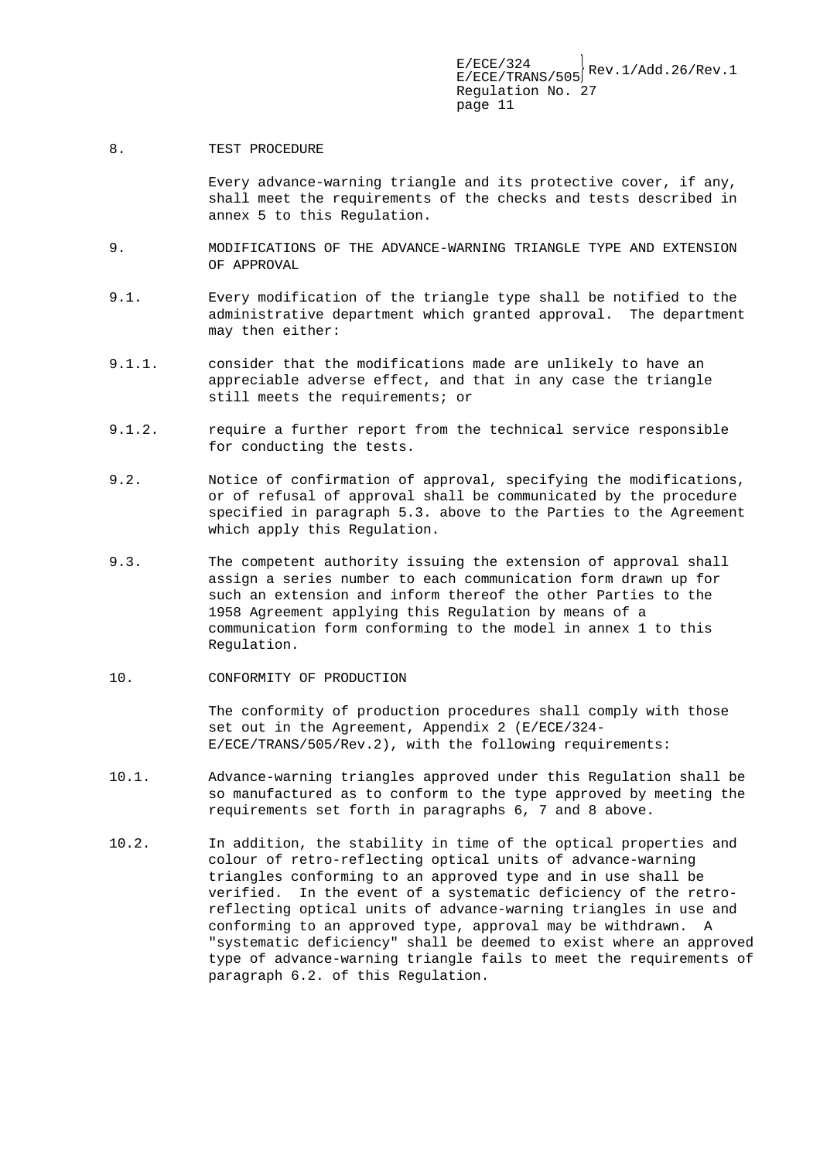8. TEST PROCEDURE

Every advance-warning triangle and its protective cover, if any, shall meet the requirements of the checks and tests described in annex 5 to this Regulation.

- 9. MODIFICATIONS OF THE ADVANCE-WARNING TRIANGLE TYPE AND EXTENSION OF APPROVAL
- 9.1. Every modification of the triangle type shall be notified to the administrative department which granted approval. The department may then either:
- 9.1.1. consider that the modifications made are unlikely to have an appreciable adverse effect, and that in any case the triangle still meets the requirements; or
- 9.1.2. require a further report from the technical service responsible for conducting the tests.
- 9.2. Notice of confirmation of approval, specifying the modifications, or of refusal of approval shall be communicated by the procedure specified in paragraph 5.3. above to the Parties to the Agreement which apply this Regulation.
- 9.3. The competent authority issuing the extension of approval shall assign a series number to each communication form drawn up for such an extension and inform thereof the other Parties to the 1958 Agreement applying this Regulation by means of a communication form conforming to the model in annex 1 to this Regulation.
- 10. CONFORMITY OF PRODUCTION

The conformity of production procedures shall comply with those set out in the Agreement, Appendix 2 (E/ECE/324- E/ECE/TRANS/505/Rev.2), with the following requirements:

- 10.1. Advance-warning triangles approved under this Regulation shall be so manufactured as to conform to the type approved by meeting the requirements set forth in paragraphs 6, 7 and 8 above.
- 10.2. In addition, the stability in time of the optical properties and colour of retro-reflecting optical units of advance-warning triangles conforming to an approved type and in use shall be verified. In the event of a systematic deficiency of the retroreflecting optical units of advance-warning triangles in use and conforming to an approved type, approval may be withdrawn. A "systematic deficiency" shall be deemed to exist where an approved type of advance-warning triangle fails to meet the requirements of paragraph 6.2. of this Regulation.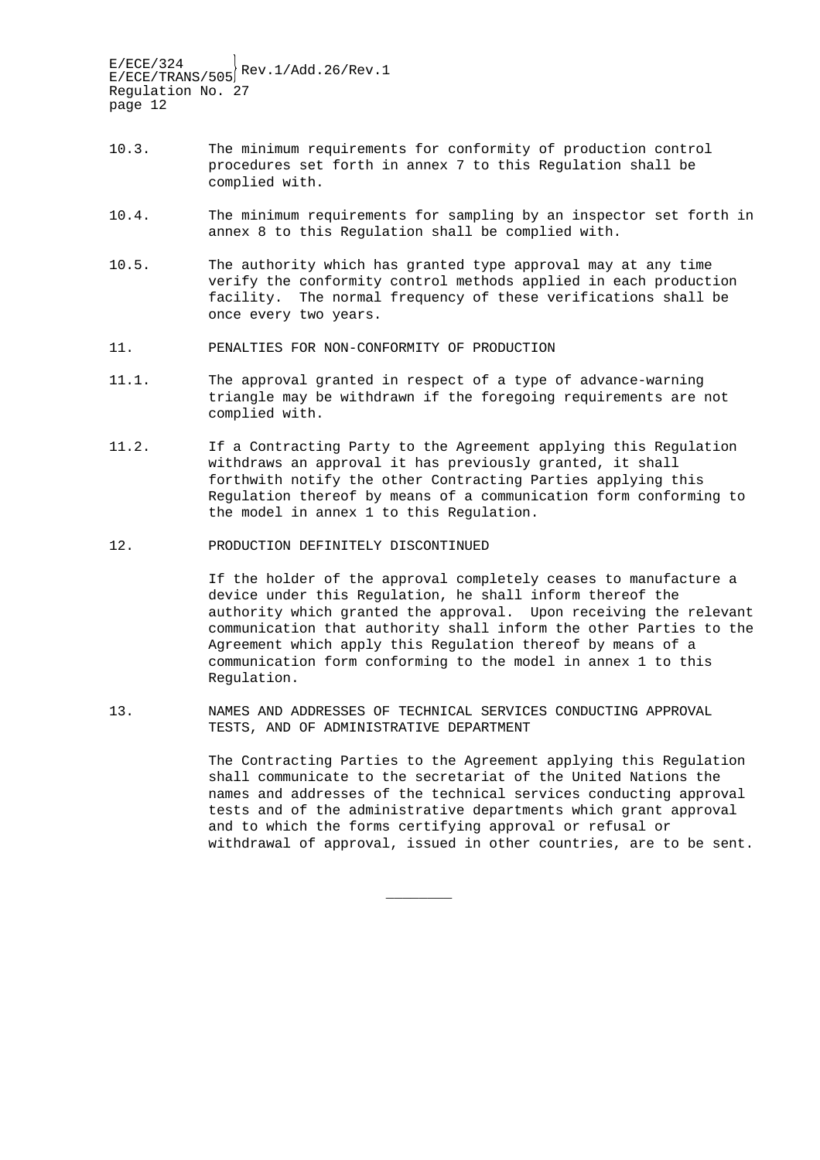- 10.3. The minimum requirements for conformity of production control procedures set forth in annex 7 to this Regulation shall be complied with.
- 10.4. The minimum requirements for sampling by an inspector set forth in annex 8 to this Regulation shall be complied with.
- 10.5. The authority which has granted type approval may at any time verify the conformity control methods applied in each production facility. The normal frequency of these verifications shall be once every two years.
- 11. PENALTIES FOR NON-CONFORMITY OF PRODUCTION
- 11.1. The approval granted in respect of a type of advance-warning triangle may be withdrawn if the foregoing requirements are not complied with.
- 11.2. If a Contracting Party to the Agreement applying this Regulation withdraws an approval it has previously granted, it shall forthwith notify the other Contracting Parties applying this Regulation thereof by means of a communication form conforming to the model in annex 1 to this Regulation.
- 12. PRODUCTION DEFINITELY DISCONTINUED

If the holder of the approval completely ceases to manufacture a device under this Regulation, he shall inform thereof the authority which granted the approval. Upon receiving the relevant communication that authority shall inform the other Parties to the Agreement which apply this Regulation thereof by means of a communication form conforming to the model in annex 1 to this Regulation.

13. NAMES AND ADDRESSES OF TECHNICAL SERVICES CONDUCTING APPROVAL TESTS, AND OF ADMINISTRATIVE DEPARTMENT

 $\overline{\phantom{a}}$  , where  $\overline{\phantom{a}}$ 

The Contracting Parties to the Agreement applying this Regulation shall communicate to the secretariat of the United Nations the names and addresses of the technical services conducting approval tests and of the administrative departments which grant approval and to which the forms certifying approval or refusal or withdrawal of approval, issued in other countries, are to be sent.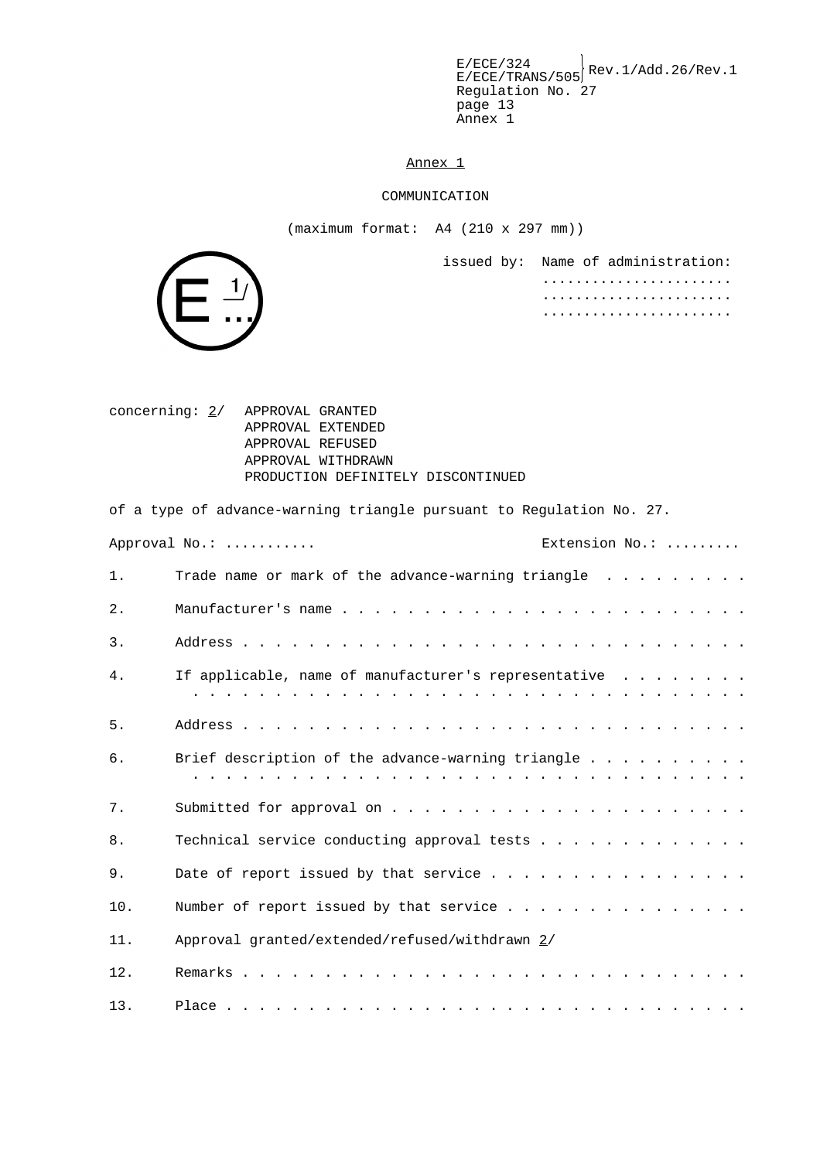$E/ECE/324$ <br> $E/ECE/TRANS/505$ <sup>Rev.1/Add.26/Rev.1</sup> Regulation No. 27 page 13 Annex 1

Annex 1

#### COMMUNICATION

(maximum format: A4 (210 x 297 mm))

issued by: Name of administration: ....................... ....................... .......................



 $1/$ 

of a type of advance-warning triangle pursuant to Regulation No. 27.

|       | Approval No.:                                        | Extension No.: |  |  |  |  |
|-------|------------------------------------------------------|----------------|--|--|--|--|
| $1$ . | Trade name or mark of the advance-warning triangle   |                |  |  |  |  |
| $2$ . |                                                      |                |  |  |  |  |
| 3.    |                                                      |                |  |  |  |  |
| 4.    | If applicable, name of manufacturer's representative |                |  |  |  |  |
| $5.$  |                                                      |                |  |  |  |  |
| 6.    |                                                      |                |  |  |  |  |
| 7.    |                                                      |                |  |  |  |  |
| 8.    |                                                      |                |  |  |  |  |
| 9.    |                                                      |                |  |  |  |  |
| 10.   |                                                      |                |  |  |  |  |
| 11.   | Approval granted/extended/refused/withdrawn 2/       |                |  |  |  |  |
| 12.   |                                                      |                |  |  |  |  |
| 13.   |                                                      |                |  |  |  |  |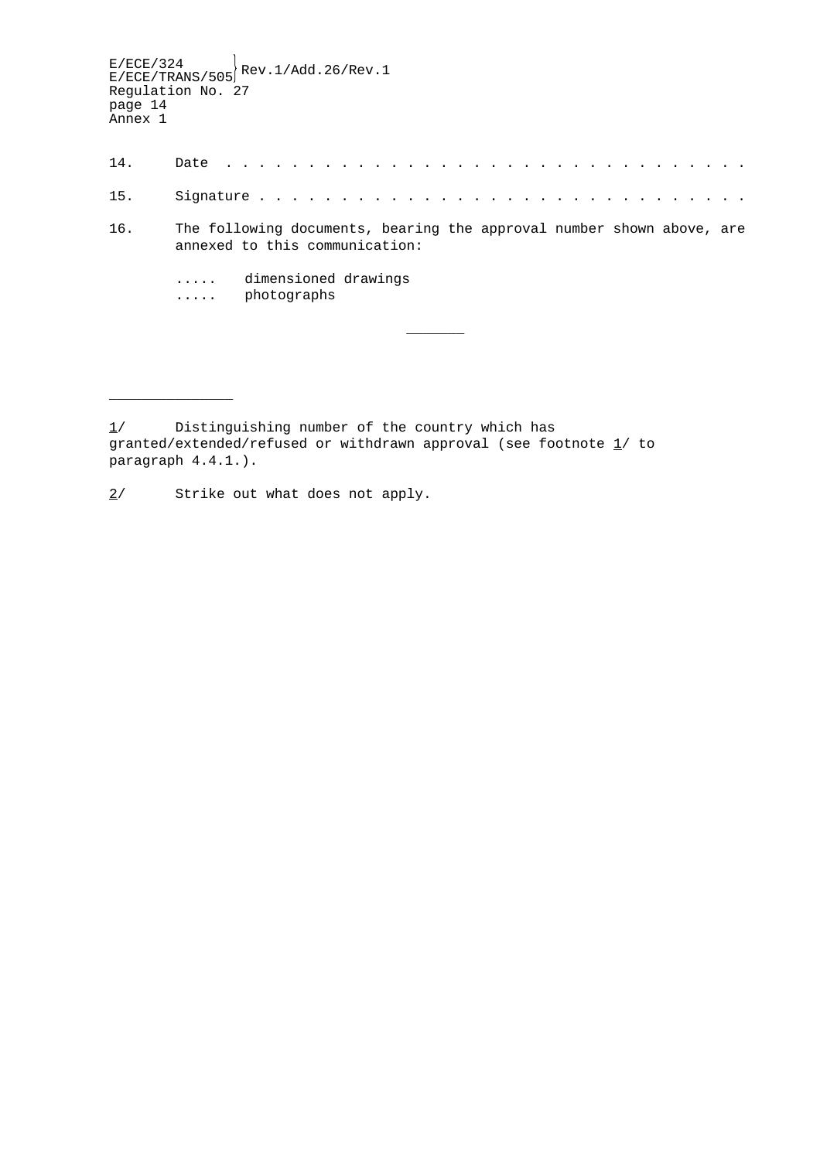$E/ECE/324$ <br> $E/ECE/TRANS/505$ <sup>Rev.1/Add.26/Rev.1</sup> Regulation No. 27 page 14 Annex 1 14. Date . . . . . . . . . . . . . . . . . . . . . . . . . . . . . . . . 15. Signature . . . . . . . . . . . . . . . . . . . . . . . . . . . . . . 16. The following documents, bearing the approval number shown above, are annexed to this communication: ..... dimensioned drawings ..... photographs  $\overline{\phantom{a}}$ 

\_\_\_\_\_\_\_\_\_\_\_\_\_\_\_

<sup>1/</sup> Distinguishing number of the country which has granted/extended/refused or withdrawn approval (see footnote  $1/$  to paragraph 4.4.1.).

<sup>2/</sup> Strike out what does not apply.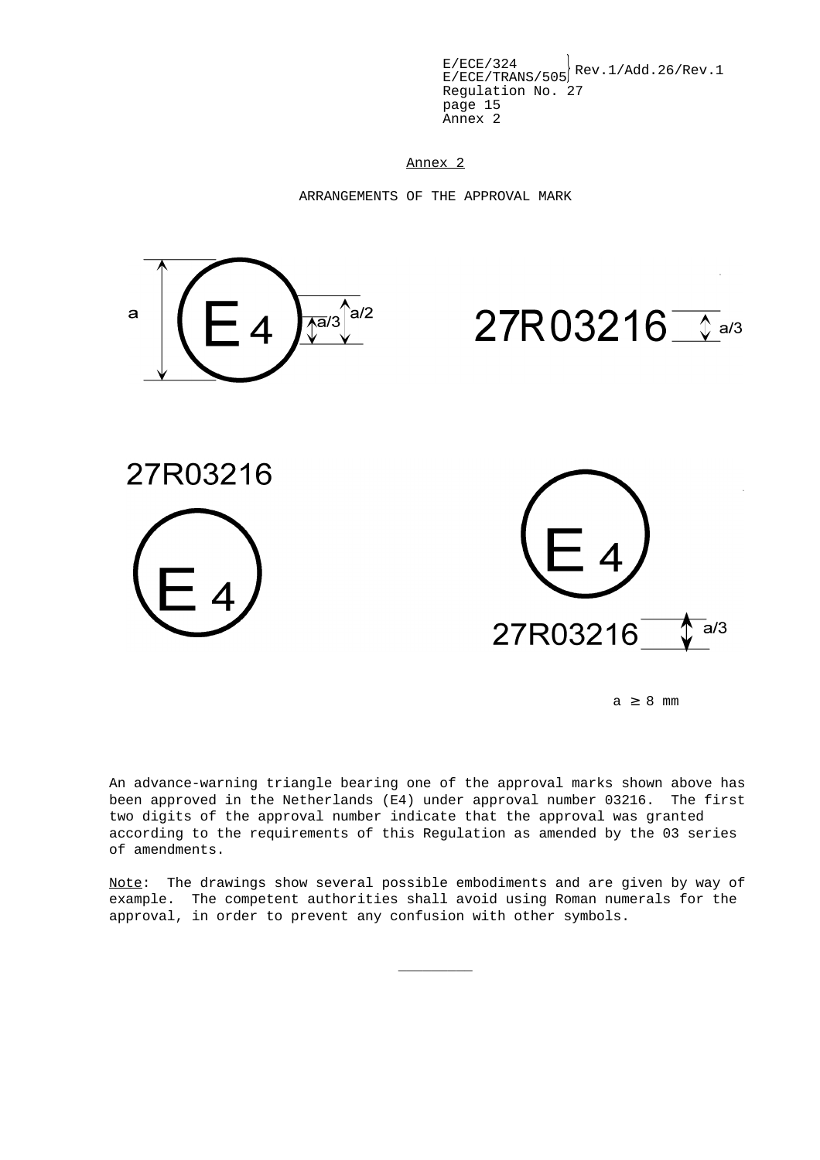$E/ECE/324$ <br> $E/ECE/TRANS/505$ <sup>Rev.1/Add.26/Rev.1</sup> Regulation No. 27 page 15 Annex 2

Annex 2

ARRANGEMENTS OF THE APPROVAL MARK



 $a \geq 8$  mm

An advance-warning triangle bearing one of the approval marks shown above has been approved in the Netherlands (E4) under approval number 03216. The first two digits of the approval number indicate that the approval was granted according to the requirements of this Regulation as amended by the 03 series of amendments.

Note: The drawings show several possible embodiments and are given by way of example. The competent authorities shall avoid using Roman numerals for the approval, in order to prevent any confusion with other symbols.

 $\overline{\phantom{a}}$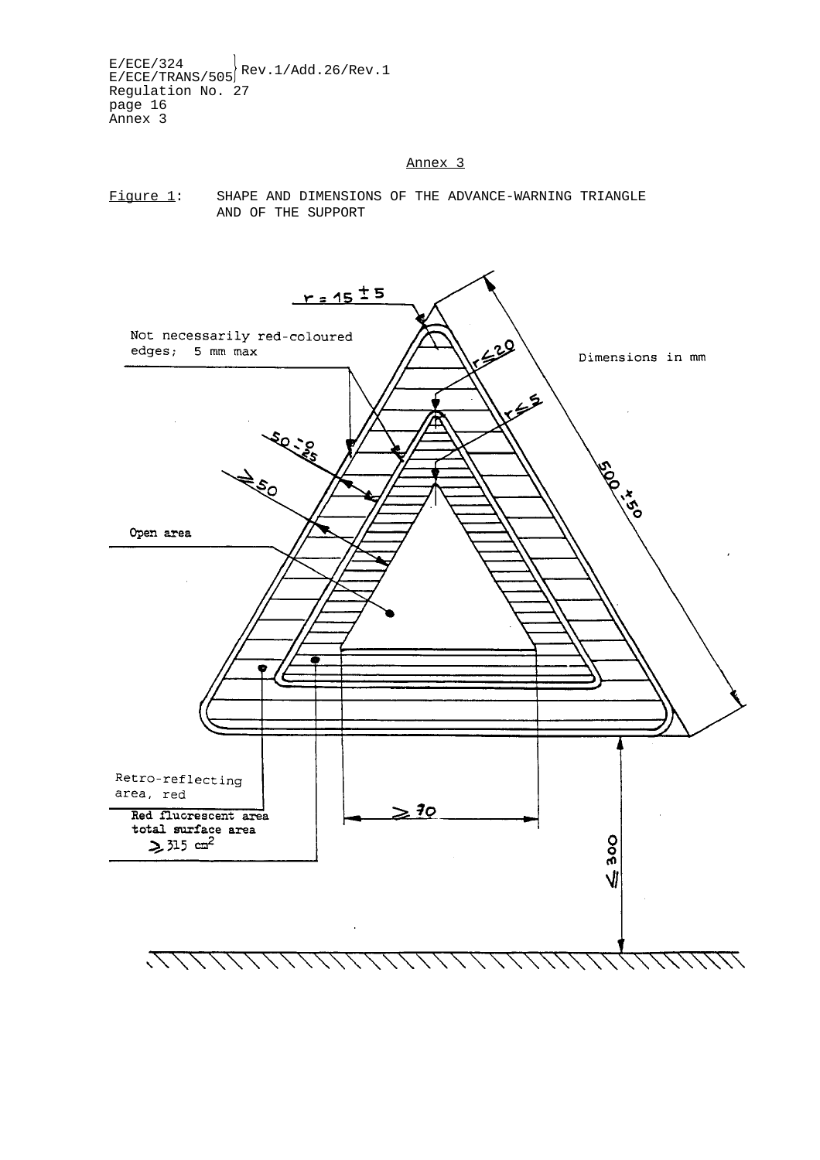$E/ECE/324$ <br>E/ECE/TRANS/505 Rev.1/Add.26/Rev.1 Regulation No. 27 page 16 Annex 3

#### Annex 3



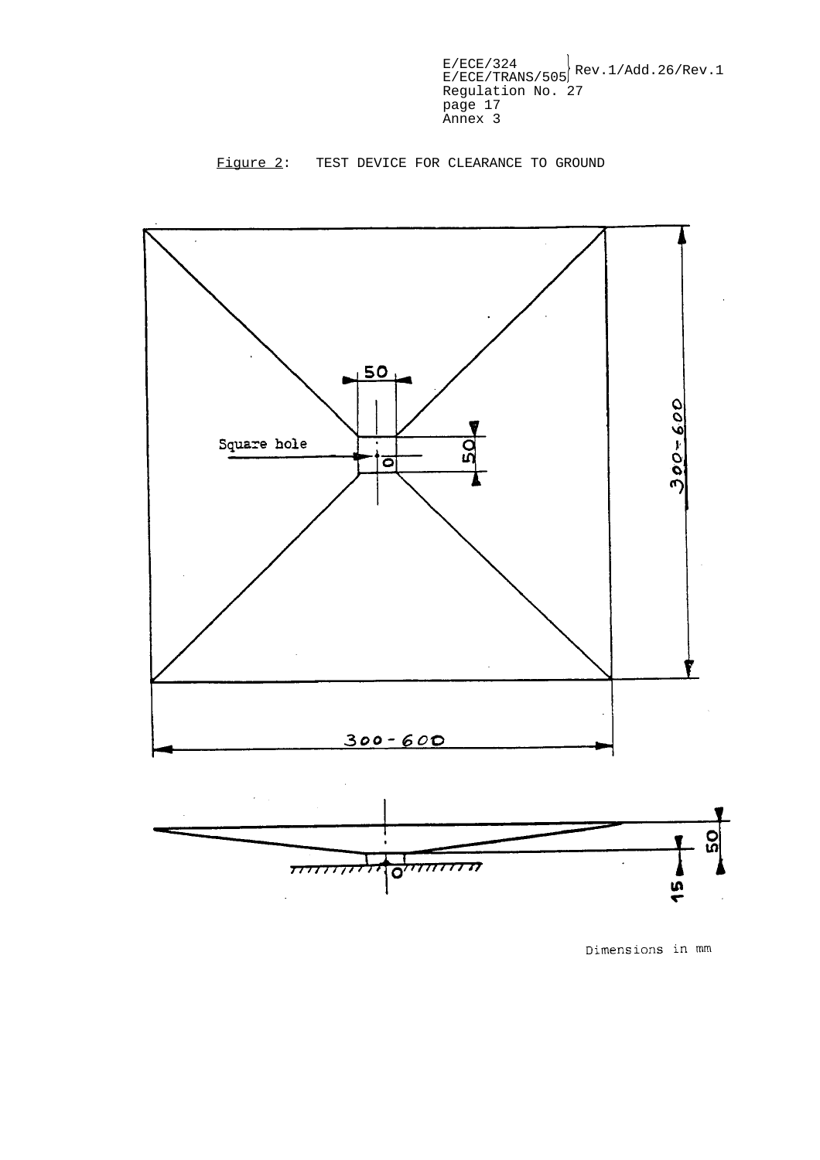

Figure 2: TEST DEVICE FOR CLEARANCE TO GROUND

Dimensions in mm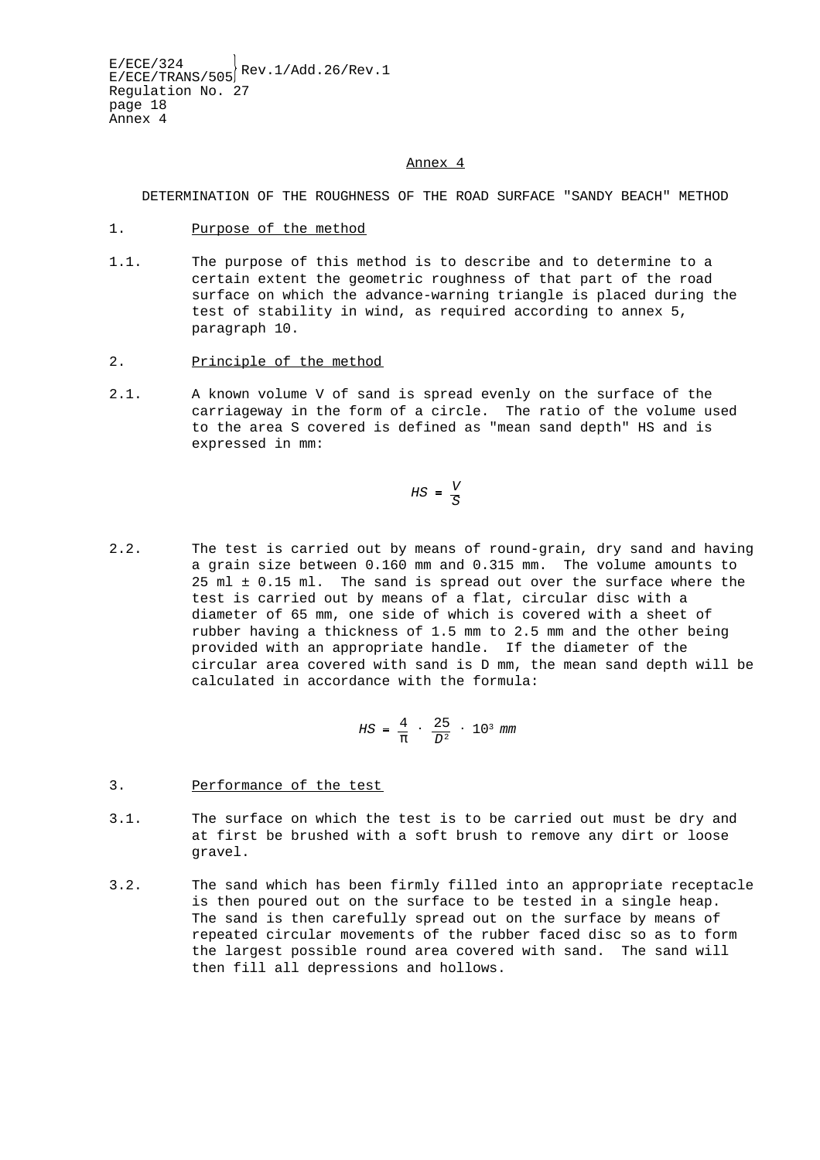#### Annex 4

DETERMINATION OF THE ROUGHNESS OF THE ROAD SURFACE "SANDY BEACH" METHOD

- 1. Purpose of the method
- 1.1. The purpose of this method is to describe and to determine to a certain extent the geometric roughness of that part of the road surface on which the advance-warning triangle is placed during the test of stability in wind, as required according to annex 5, paragraph 10.
- 2. Principle of the method
- 2.1. A known volume V of sand is spread evenly on the surface of the carriageway in the form of a circle. The ratio of the volume used to the area S covered is defined as "mean sand depth" HS and is expressed in mm:

$$
HS = \frac{V}{S}
$$

2.2. The test is carried out by means of round-grain, dry sand and having a grain size between 0.160 mm and 0.315 mm. The volume amounts to 25 ml ± 0.15 ml. The sand is spread out over the surface where the test is carried out by means of a flat, circular disc with a diameter of 65 mm, one side of which is covered with a sheet of rubber having a thickness of 1.5 mm to 2.5 mm and the other being provided with an appropriate handle. If the diameter of the circular area covered with sand is D mm, the mean sand depth will be calculated in accordance with the formula:

$$
HS = \frac{4}{\pi} \cdot \frac{25}{D^2} \cdot 10^3 \text{ mm}
$$

- 3. Performance of the test
- 3.1. The surface on which the test is to be carried out must be dry and at first be brushed with a soft brush to remove any dirt or loose gravel.
- 3.2. The sand which has been firmly filled into an appropriate receptacle is then poured out on the surface to be tested in a single heap. The sand is then carefully spread out on the surface by means of repeated circular movements of the rubber faced disc so as to form the largest possible round area covered with sand. The sand will then fill all depressions and hollows.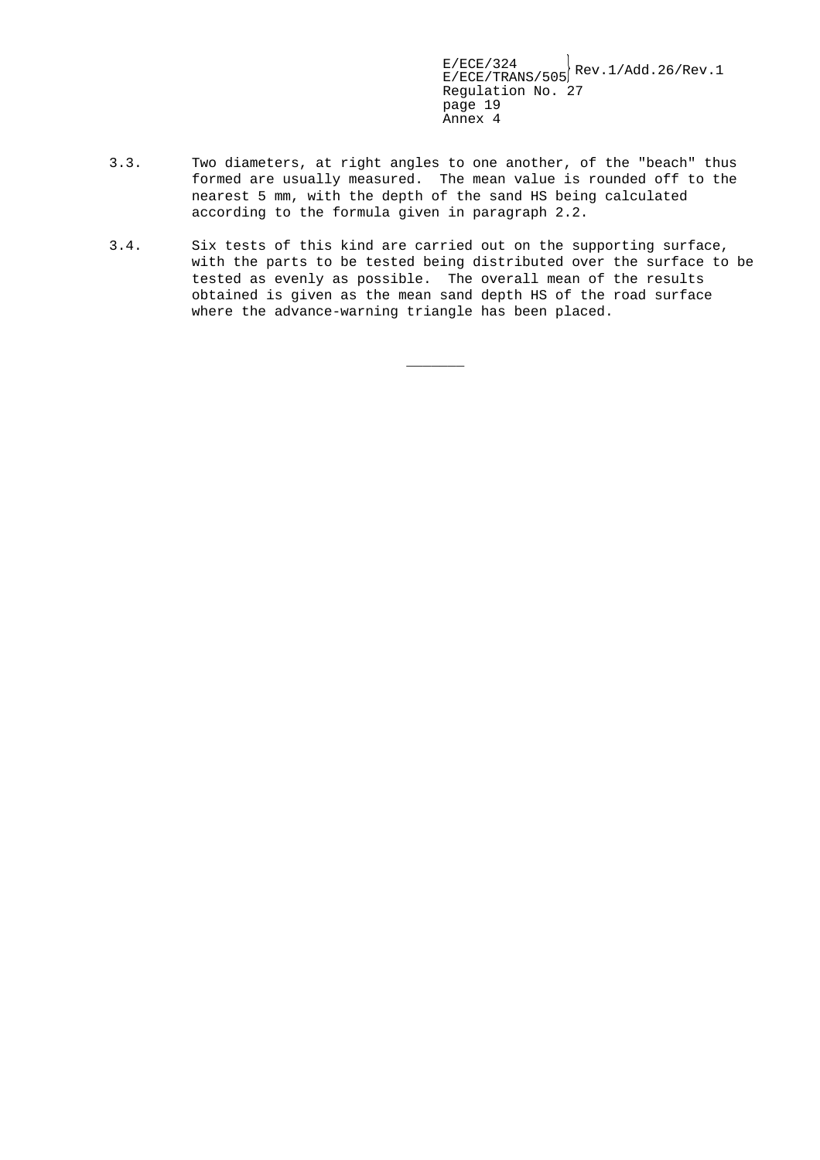- 3.3. Two diameters, at right angles to one another, of the "beach" thus formed are usually measured. The mean value is rounded off to the nearest 5 mm, with the depth of the sand HS being calculated according to the formula given in paragraph 2.2.
- 3.4. Six tests of this kind are carried out on the supporting surface, with the parts to be tested being distributed over the surface to be tested as evenly as possible. The overall mean of the results obtained is given as the mean sand depth HS of the road surface where the advance-warning triangle has been placed.

 $\overline{\phantom{a}}$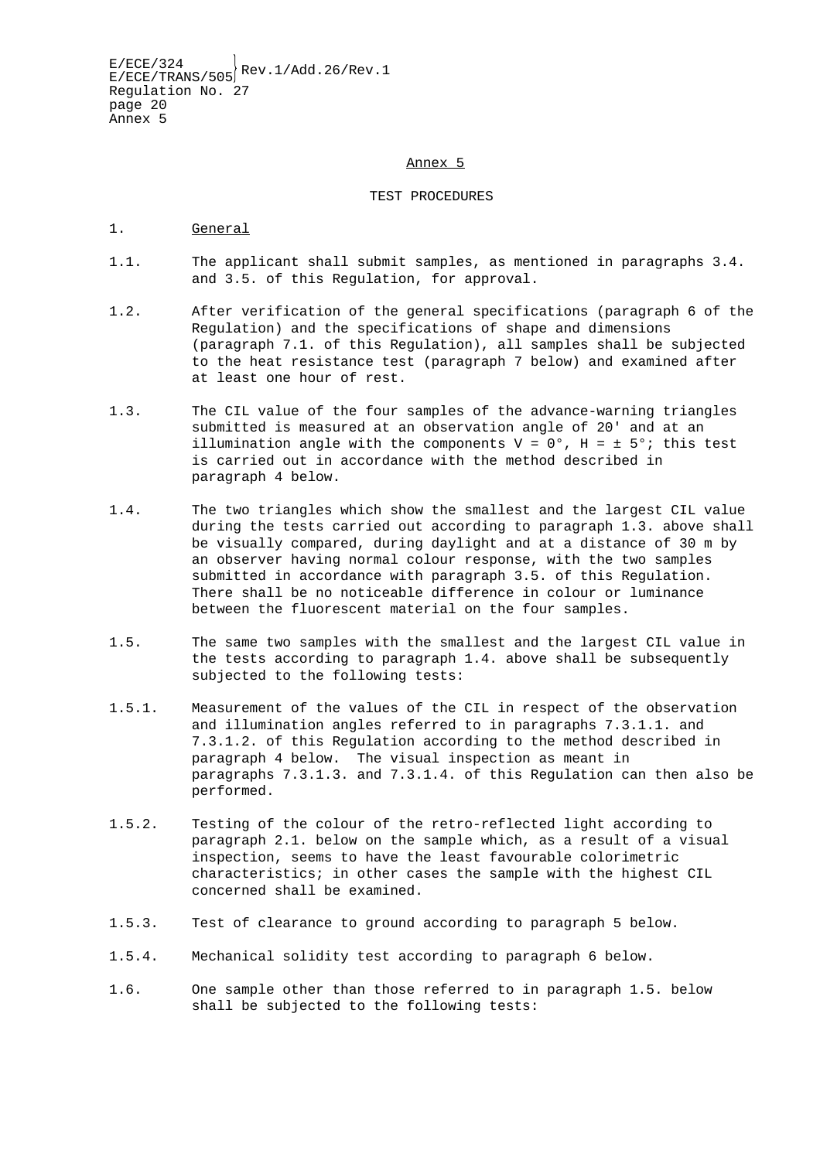#### Annex 5

#### TEST PROCEDURES

- 1. General
- 1.1. The applicant shall submit samples, as mentioned in paragraphs 3.4. and 3.5. of this Regulation, for approval.
- 1.2. After verification of the general specifications (paragraph 6 of the Regulation) and the specifications of shape and dimensions (paragraph 7.1. of this Regulation), all samples shall be subjected to the heat resistance test (paragraph 7 below) and examined after at least one hour of rest.
- 1.3. The CIL value of the four samples of the advance-warning triangles submitted is measured at an observation angle of 20' and at an illumination angle with the components  $V = 0^\circ$ ,  $H = \pm 5^\circ$ ; this test is carried out in accordance with the method described in paragraph 4 below.
- 1.4. The two triangles which show the smallest and the largest CIL value during the tests carried out according to paragraph 1.3. above shall be visually compared, during daylight and at a distance of 30 m by an observer having normal colour response, with the two samples submitted in accordance with paragraph 3.5. of this Regulation. There shall be no noticeable difference in colour or luminance between the fluorescent material on the four samples.
- 1.5. The same two samples with the smallest and the largest CIL value in the tests according to paragraph 1.4. above shall be subsequently subjected to the following tests:
- 1.5.1. Measurement of the values of the CIL in respect of the observation and illumination angles referred to in paragraphs 7.3.1.1. and 7.3.1.2. of this Regulation according to the method described in paragraph 4 below. The visual inspection as meant in paragraphs 7.3.1.3. and 7.3.1.4. of this Regulation can then also be performed.
- 1.5.2. Testing of the colour of the retro-reflected light according to paragraph 2.1. below on the sample which, as a result of a visual inspection, seems to have the least favourable colorimetric characteristics; in other cases the sample with the highest CIL concerned shall be examined.
- 1.5.3. Test of clearance to ground according to paragraph 5 below.
- 1.5.4. Mechanical solidity test according to paragraph 6 below.
- 1.6. One sample other than those referred to in paragraph 1.5. below shall be subjected to the following tests: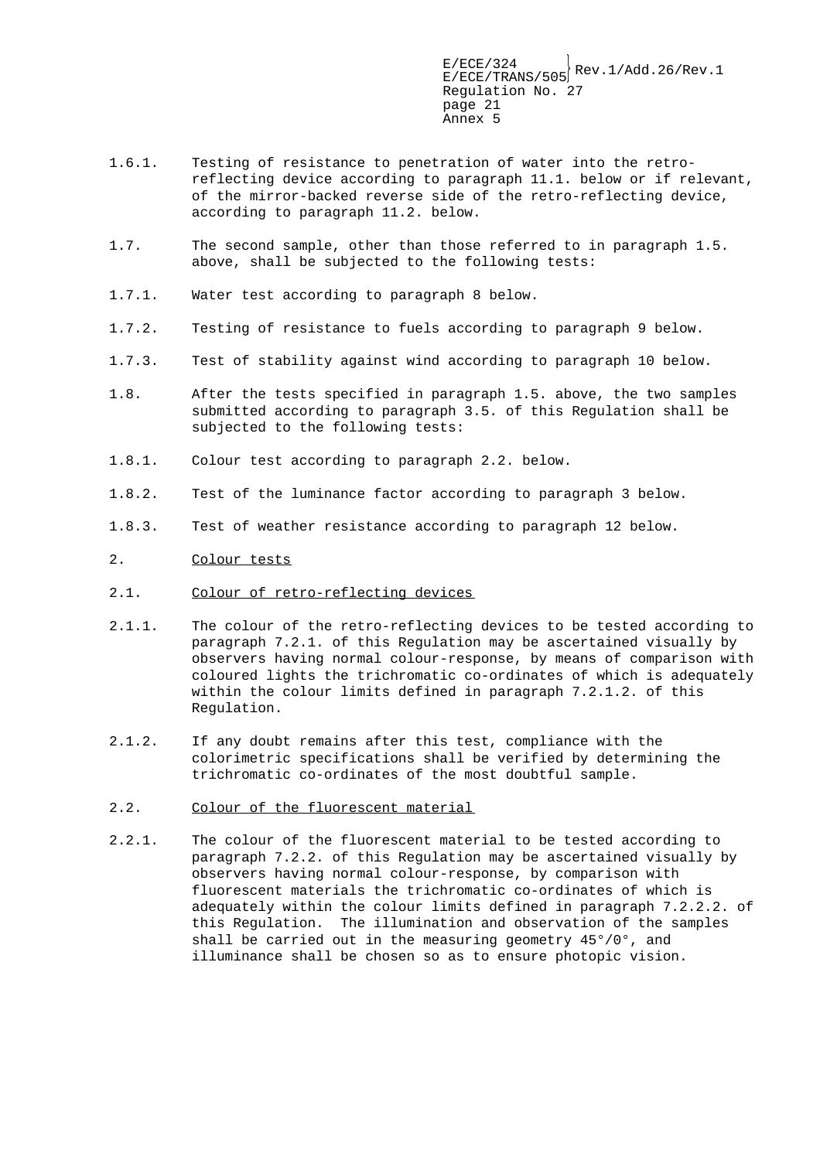- 1.6.1. Testing of resistance to penetration of water into the retroreflecting device according to paragraph 11.1. below or if relevant, of the mirror-backed reverse side of the retro-reflecting device, according to paragraph 11.2. below.
- 1.7. The second sample, other than those referred to in paragraph 1.5. above, shall be subjected to the following tests:
- 1.7.1. Water test according to paragraph 8 below.
- 1.7.2. Testing of resistance to fuels according to paragraph 9 below.
- 1.7.3. Test of stability against wind according to paragraph 10 below.
- 1.8. After the tests specified in paragraph 1.5. above, the two samples submitted according to paragraph 3.5. of this Regulation shall be subjected to the following tests:
- 1.8.1. Colour test according to paragraph 2.2. below.
- 1.8.2. Test of the luminance factor according to paragraph 3 below.
- 1.8.3. Test of weather resistance according to paragraph 12 below.
- 2. Colour tests
- 2.1. Colour of retro-reflecting devices
- 2.1.1. The colour of the retro-reflecting devices to be tested according to paragraph 7.2.1. of this Regulation may be ascertained visually by observers having normal colour-response, by means of comparison with coloured lights the trichromatic co-ordinates of which is adequately within the colour limits defined in paragraph 7.2.1.2. of this Regulation.
- 2.1.2. If any doubt remains after this test, compliance with the colorimetric specifications shall be verified by determining the trichromatic co-ordinates of the most doubtful sample.
- 2.2. Colour of the fluorescent material
- 2.2.1. The colour of the fluorescent material to be tested according to paragraph 7.2.2. of this Regulation may be ascertained visually by observers having normal colour-response, by comparison with fluorescent materials the trichromatic co-ordinates of which is adequately within the colour limits defined in paragraph 7.2.2.2. of this Regulation. The illumination and observation of the samples shall be carried out in the measuring geometry 45°/0°, and illuminance shall be chosen so as to ensure photopic vision.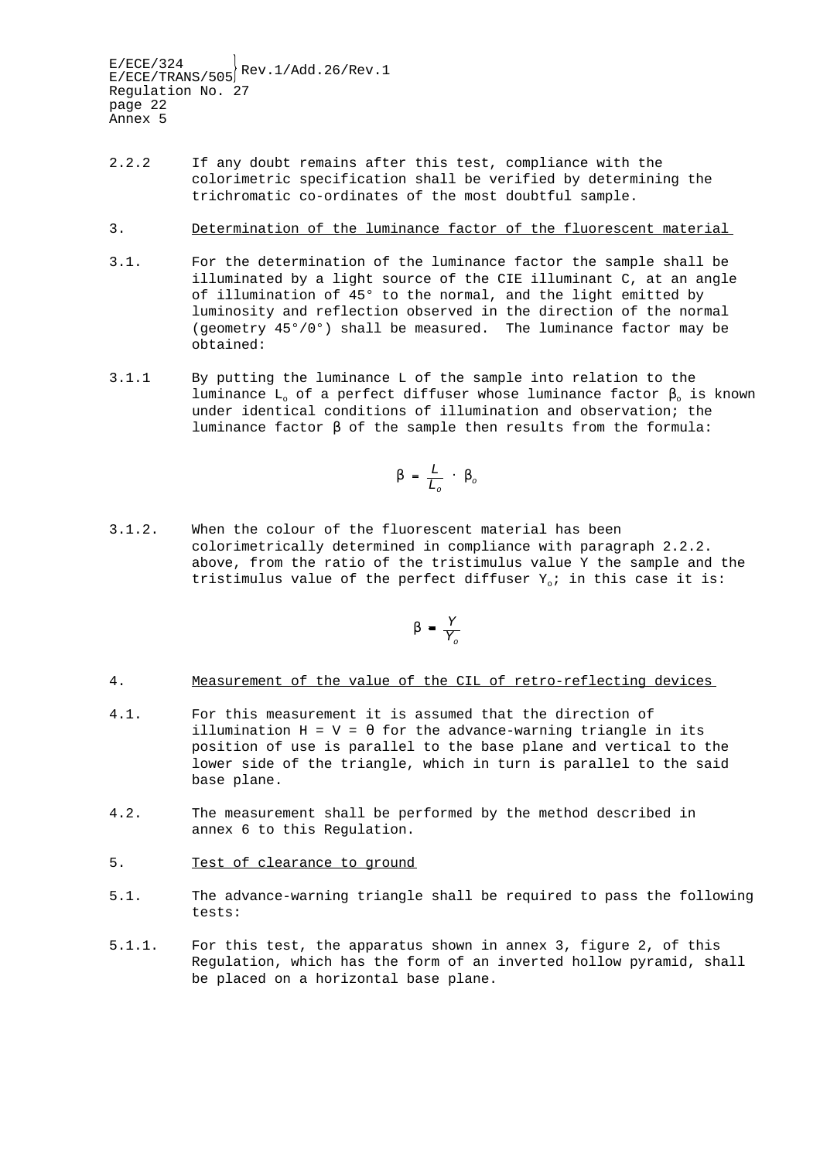- 2.2.2 If any doubt remains after this test, compliance with the colorimetric specification shall be verified by determining the trichromatic co-ordinates of the most doubtful sample.
- 3. Determination of the luminance factor of the fluorescent material
- 3.1. For the determination of the luminance factor the sample shall be illuminated by a light source of the CIE illuminant C, at an angle of illumination of 45° to the normal, and the light emitted by luminosity and reflection observed in the direction of the normal (geometry 45°/0°) shall be measured. The luminance factor may be obtained:
- 3.1.1 By putting the luminance L of the sample into relation to the luminance L<sub>o</sub> of a perfect diffuser whose luminance factor  $β_0$  is known under identical conditions of illumination and observation; the luminance factor β of the sample then results from the formula:

$$
\beta\,=\,\frac{L}{L_o}\,\,\cdot\,\,\beta_o
$$

3.1.2. When the colour of the fluorescent material has been colorimetrically determined in compliance with paragraph 2.2.2. above, from the ratio of the tristimulus value Y the sample and the tristimulus value of the perfect diffuser  $Y_o$ ; in this case it is:

$$
\beta = \frac{Y}{Y_o}
$$

#### 4. Measurement of the value of the CIL of retro-reflecting devices

- 4.1. For this measurement it is assumed that the direction of illumination  $H = V = \theta$  for the advance-warning triangle in its position of use is parallel to the base plane and vertical to the lower side of the triangle, which in turn is parallel to the said base plane.
- 4.2. The measurement shall be performed by the method described in annex 6 to this Regulation.
- 5. Test of clearance to ground
- 5.1. The advance-warning triangle shall be required to pass the following tests:
- 5.1.1. For this test, the apparatus shown in annex 3, figure 2, of this Regulation, which has the form of an inverted hollow pyramid, shall be placed on a horizontal base plane.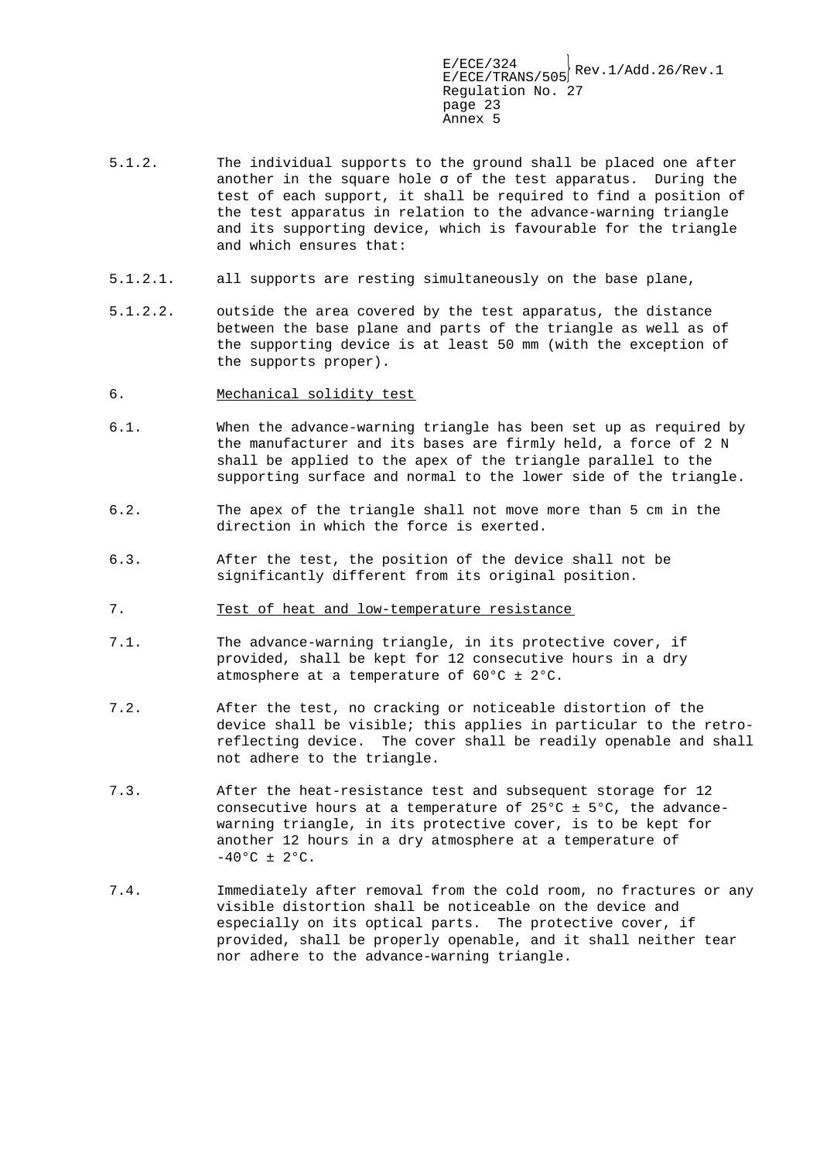- 5.1.2. The individual supports to the ground shall be placed one after another in the square hole  $\sigma$  of the test apparatus. During the test of each support, it shall be required to find a position of the test apparatus in relation to the advance-warning triangle and its supporting device, which is favourable for the triangle and which ensures that:
- 5.1.2.1. all supports are resting simultaneously on the base plane,
- 5.1.2.2. outside the area covered by the test apparatus, the distance between the base plane and parts of the triangle as well as of the supporting device is at least 50 mm (with the exception of the supports proper).
- 6. Mechanical solidity test
- 6.1. When the advance-warning triangle has been set up as required by the manufacturer and its bases are firmly held, a force of 2 N shall be applied to the apex of the triangle parallel to the supporting surface and normal to the lower side of the triangle.
- 6.2. The apex of the triangle shall not move more than 5 cm in the direction in which the force is exerted.
- 6.3. After the test, the position of the device shall not be significantly different from its original position.
- 7. Test of heat and low-temperature resistance
- 7.1. The advance-warning triangle, in its protective cover, if provided, shall be kept for 12 consecutive hours in a dry atmosphere at a temperature of 60°C ± 2°C.
- 7.2. After the test, no cracking or noticeable distortion of the device shall be visible; this applies in particular to the retroreflecting device. The cover shall be readily openable and shall not adhere to the triangle.
- 7.3. After the heat-resistance test and subsequent storage for 12 consecutive hours at a temperature of  $25^{\circ}$ C  $\pm$  5°C, the advancewarning triangle, in its protective cover, is to be kept for another 12 hours in a dry atmosphere at a temperature of  $-40$ °C ± 2°C.
- 7.4. Immediately after removal from the cold room, no fractures or any visible distortion shall be noticeable on the device and especially on its optical parts. The protective cover, if provided, shall be properly openable, and it shall neither tear nor adhere to the advance-warning triangle.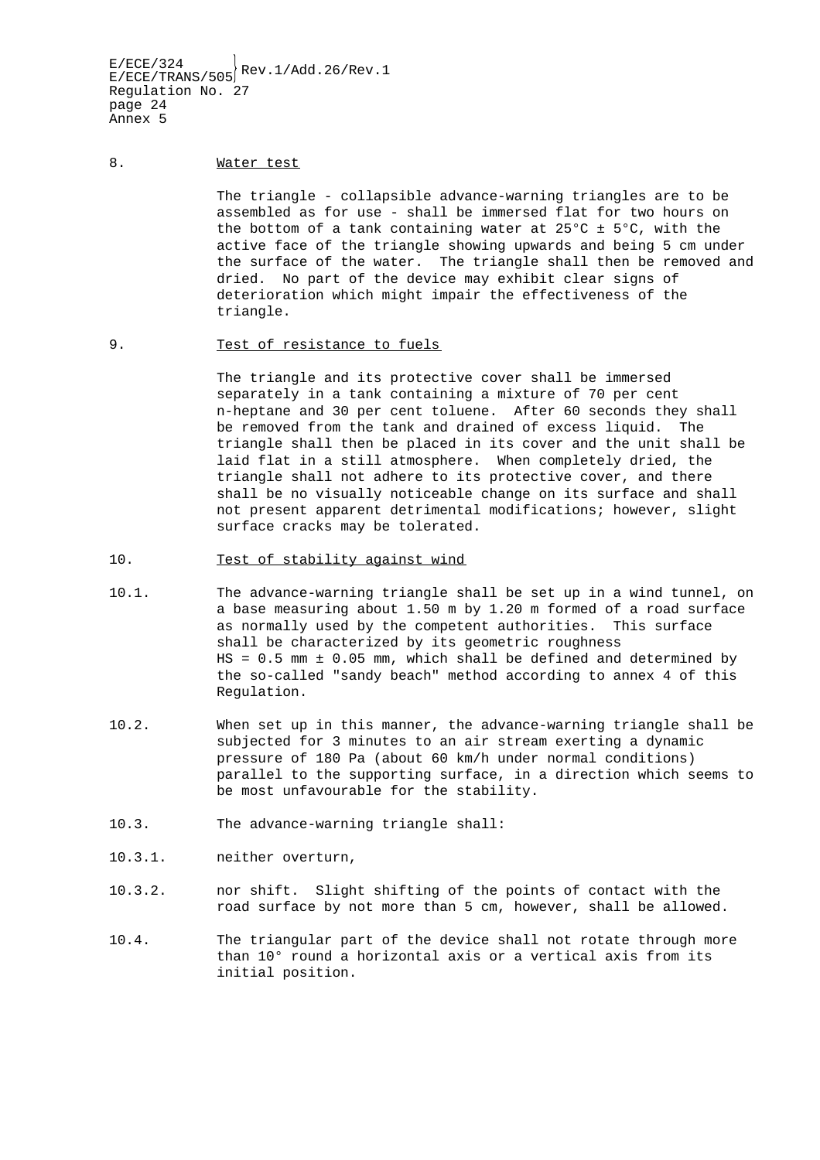#### 8. Water test

The triangle - collapsible advance-warning triangles are to be assembled as for use - shall be immersed flat for two hours on the bottom of a tank containing water at  $25^{\circ}$ C ±  $5^{\circ}$ C, with the active face of the triangle showing upwards and being 5 cm under the surface of the water. The triangle shall then be removed and dried. No part of the device may exhibit clear signs of deterioration which might impair the effectiveness of the triangle.

#### 9. Test of resistance to fuels

The triangle and its protective cover shall be immersed separately in a tank containing a mixture of 70 per cent n-heptane and 30 per cent toluene. After 60 seconds they shall be removed from the tank and drained of excess liquid. The triangle shall then be placed in its cover and the unit shall be laid flat in a still atmosphere. When completely dried, the triangle shall not adhere to its protective cover, and there shall be no visually noticeable change on its surface and shall not present apparent detrimental modifications; however, slight surface cracks may be tolerated.

#### 10. Test of stability against wind

- 10.1. The advance-warning triangle shall be set up in a wind tunnel, on a base measuring about 1.50 m by 1.20 m formed of a road surface as normally used by the competent authorities. This surface shall be characterized by its geometric roughness  $HS = 0.5$  mm  $\pm$  0.05 mm, which shall be defined and determined by the so-called "sandy beach" method according to annex 4 of this Regulation.
- 10.2. When set up in this manner, the advance-warning triangle shall be subjected for 3 minutes to an air stream exerting a dynamic pressure of 180 Pa (about 60 km/h under normal conditions) parallel to the supporting surface, in a direction which seems to be most unfavourable for the stability.
- 10.3. The advance-warning triangle shall:
- 10.3.1. neither overturn,
- 10.3.2. nor shift. Slight shifting of the points of contact with the road surface by not more than 5 cm, however, shall be allowed.
- 10.4. The triangular part of the device shall not rotate through more than 10° round a horizontal axis or a vertical axis from its initial position.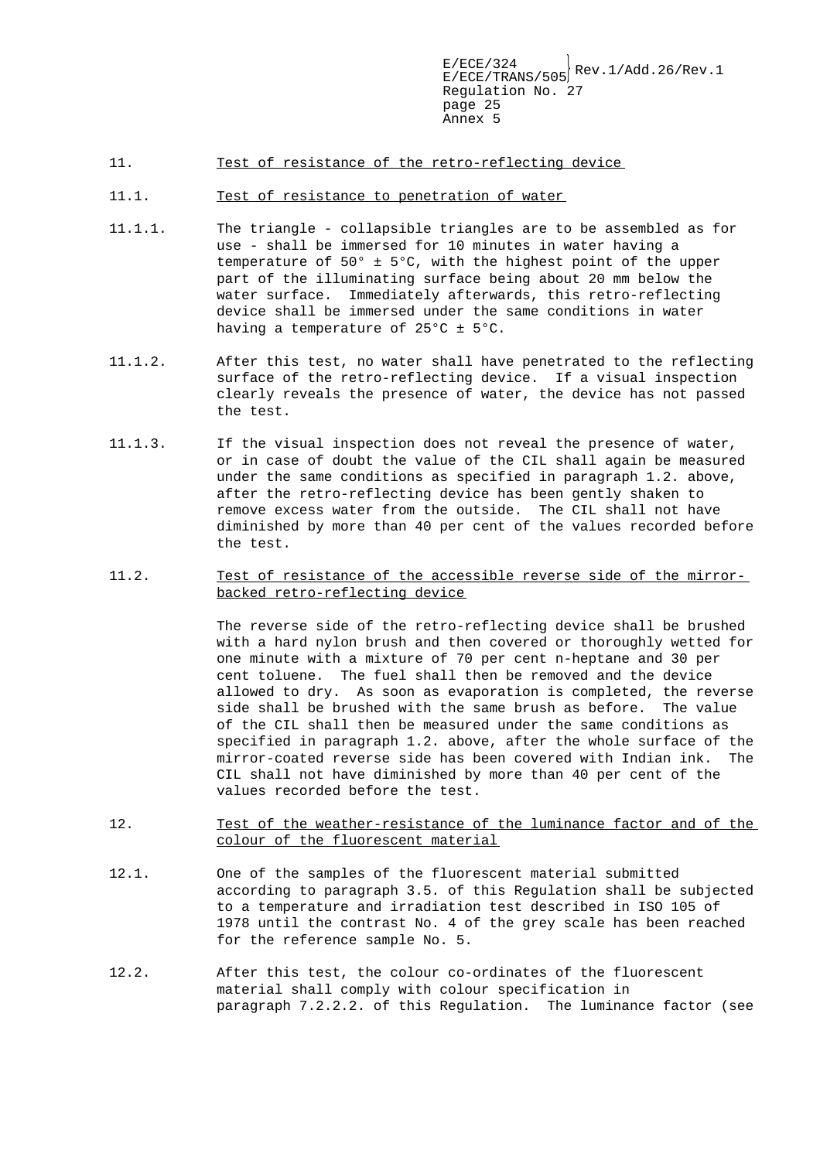- 11. Test of resistance of the retro-reflecting device
- 11.1. Test of resistance to penetration of water
- 11.1.1. The triangle collapsible triangles are to be assembled as for use - shall be immersed for 10 minutes in water having a temperature of 50° ± 5°C, with the highest point of the upper part of the illuminating surface being about 20 mm below the water surface. Immediately afterwards, this retro-reflecting device shall be immersed under the same conditions in water having a temperature of 25°C ± 5°C.
- 11.1.2. After this test, no water shall have penetrated to the reflecting surface of the retro-reflecting device. If a visual inspection clearly reveals the presence of water, the device has not passed the test.
- 11.1.3. If the visual inspection does not reveal the presence of water, or in case of doubt the value of the CIL shall again be measured under the same conditions as specified in paragraph 1.2. above, after the retro-reflecting device has been gently shaken to remove excess water from the outside. The CIL shall not have diminished by more than 40 per cent of the values recorded before the test.
- 11.2. Test of resistance of the accessible reverse side of the mirrorbacked retro-reflecting device

The reverse side of the retro-reflecting device shall be brushed with a hard nylon brush and then covered or thoroughly wetted for one minute with a mixture of 70 per cent n-heptane and 30 per cent toluene. The fuel shall then be removed and the device allowed to dry. As soon as evaporation is completed, the reverse side shall be brushed with the same brush as before. The value of the CIL shall then be measured under the same conditions as specified in paragraph 1.2. above, after the whole surface of the mirror-coated reverse side has been covered with Indian ink. The CIL shall not have diminished by more than 40 per cent of the values recorded before the test.

- 12. Test of the weather-resistance of the luminance factor and of the colour of the fluorescent material
- 12.1. One of the samples of the fluorescent material submitted according to paragraph 3.5. of this Regulation shall be subjected to a temperature and irradiation test described in ISO 105 of 1978 until the contrast No. 4 of the grey scale has been reached for the reference sample No. 5.
- 12.2. After this test, the colour co-ordinates of the fluorescent material shall comply with colour specification in paragraph 7.2.2.2. of this Regulation. The luminance factor (see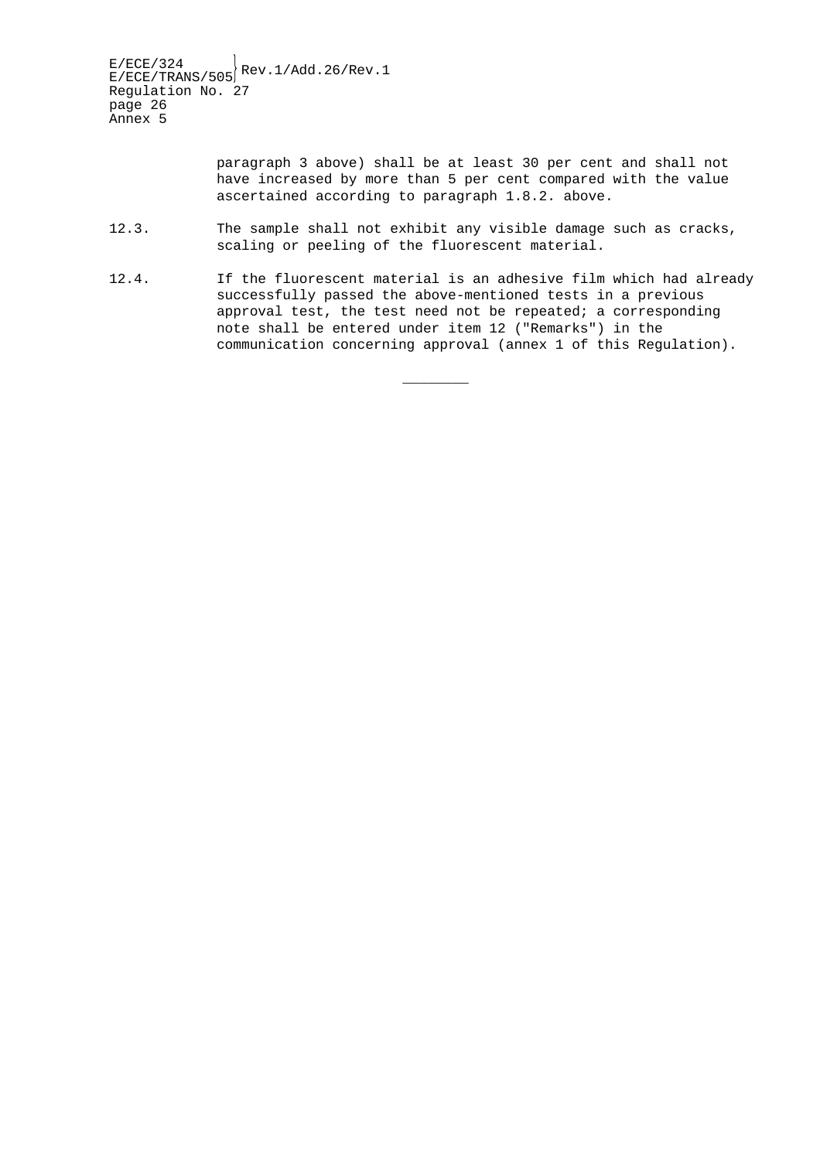$E/ECE/324$ <br>E/ECE/TRANS/505 Rev.1/Add.26/Rev.1 Regulation No. 27 page 26 Annex 5

> paragraph 3 above) shall be at least 30 per cent and shall not have increased by more than 5 per cent compared with the value ascertained according to paragraph 1.8.2. above.

- 12.3. The sample shall not exhibit any visible damage such as cracks, scaling or peeling of the fluorescent material.
- 12.4. If the fluorescent material is an adhesive film which had already successfully passed the above-mentioned tests in a previous approval test, the test need not be repeated; a corresponding note shall be entered under item 12 ("Remarks") in the communication concerning approval (annex 1 of this Regulation).

\_\_\_\_\_\_\_\_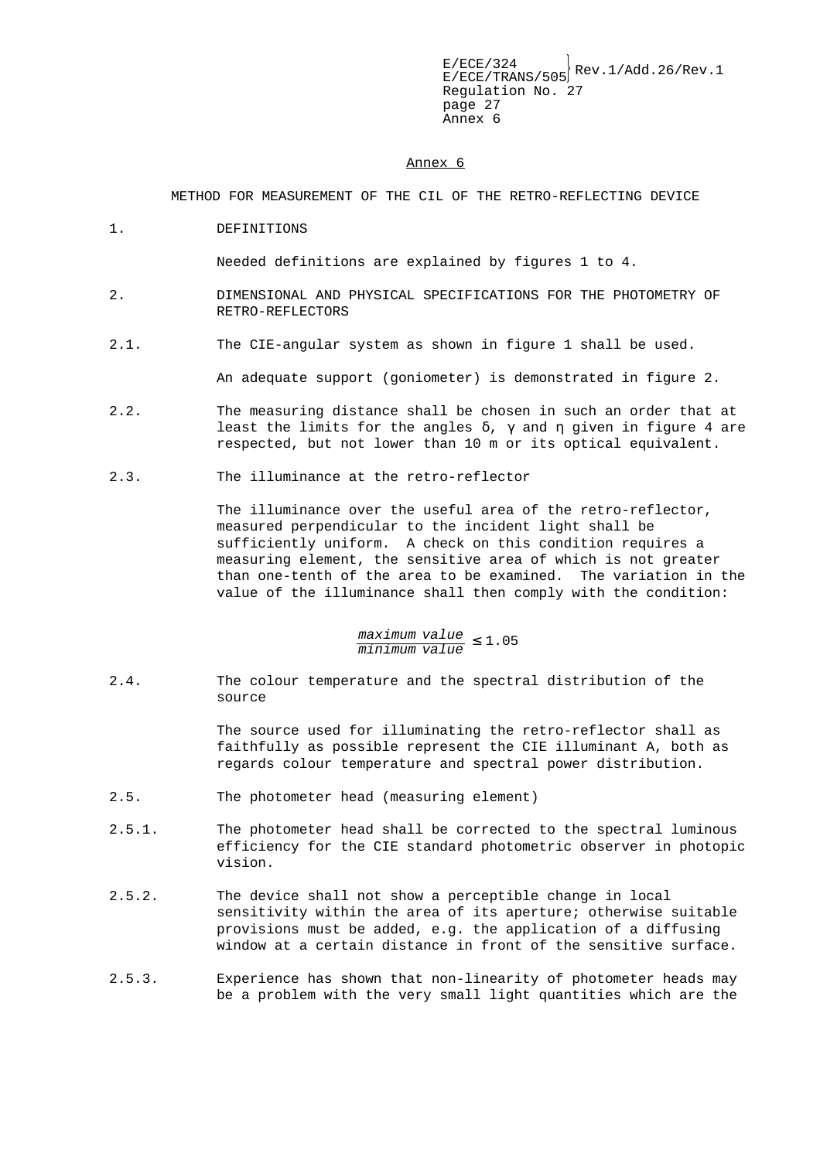#### Annex 6

METHOD FOR MEASUREMENT OF THE CIL OF THE RETRO-REFLECTING DEVICE

1. DEFINITIONS

Needed definitions are explained by figures 1 to 4.

- 2. DIMENSIONAL AND PHYSICAL SPECIFICATIONS FOR THE PHOTOMETRY OF RETRO-REFLECTORS
- 2.1. The CIE-angular system as shown in figure 1 shall be used.

An adequate support (goniometer) is demonstrated in figure 2.

- 2.2. The measuring distance shall be chosen in such an order that at least the limits for the angles  $\delta$ ,  $\gamma$  and  $\eta$  given in figure 4 are respected, but not lower than 10 m or its optical equivalent.
- 2.3. The illuminance at the retro-reflector

The illuminance over the useful area of the retro-reflector, measured perpendicular to the incident light shall be sufficiently uniform. A check on this condition requires a measuring element, the sensitive area of which is not greater than one-tenth of the area to be examined. The variation in the value of the illuminance shall then comply with the condition:

# maximum value minimum value <sup>≤</sup> 1.05

2.4. The colour temperature and the spectral distribution of the source

> The source used for illuminating the retro-reflector shall as faithfully as possible represent the CIE illuminant A, both as regards colour temperature and spectral power distribution.

- 2.5. The photometer head (measuring element)
- 2.5.1. The photometer head shall be corrected to the spectral luminous efficiency for the CIE standard photometric observer in photopic vision.
- 2.5.2. The device shall not show a perceptible change in local sensitivity within the area of its aperture; otherwise suitable provisions must be added, e.g. the application of a diffusing window at a certain distance in front of the sensitive surface.
- 2.5.3. Experience has shown that non-linearity of photometer heads may be a problem with the very small light quantities which are the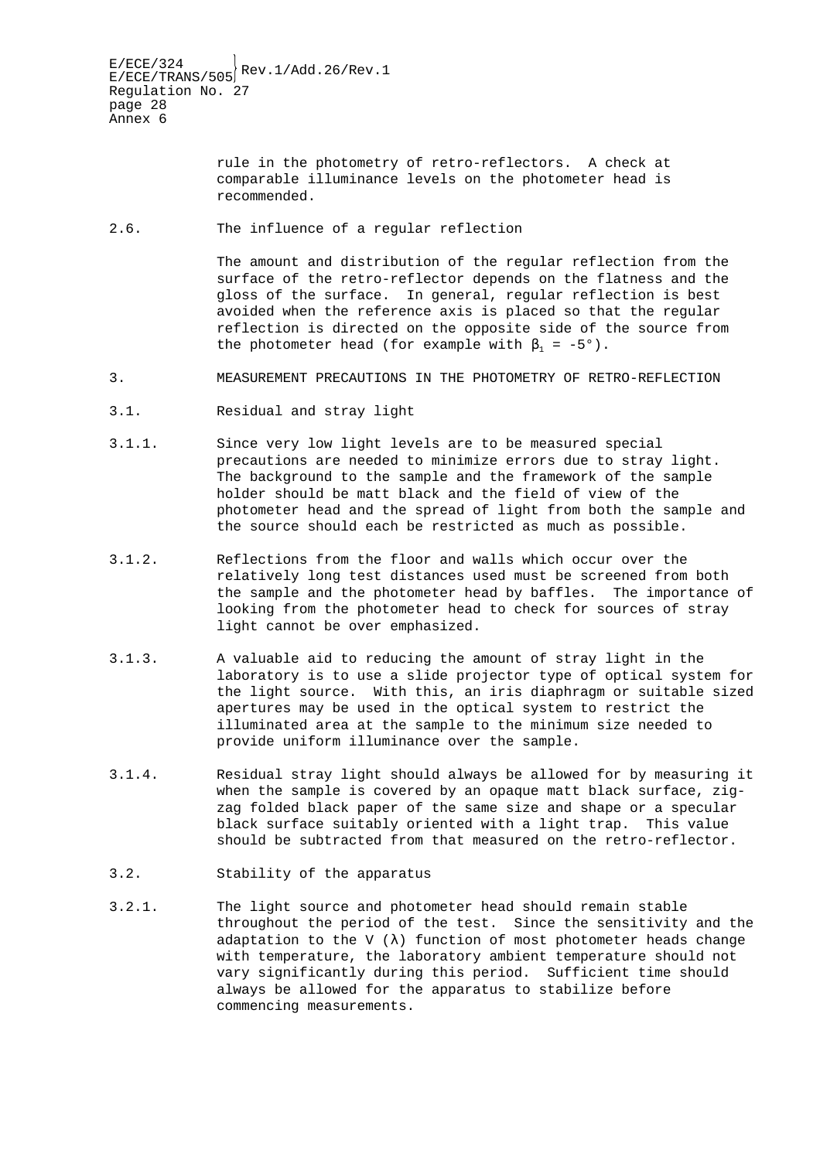rule in the photometry of retro-reflectors. A check at comparable illuminance levels on the photometer head is recommended.

2.6. The influence of a regular reflection

The amount and distribution of the regular reflection from the surface of the retro-reflector depends on the flatness and the gloss of the surface. In general, regular reflection is best avoided when the reference axis is placed so that the regular reflection is directed on the opposite side of the source from the photometer head (for example with  $\beta_1 = -5^{\circ}$ ).

- 3. MEASUREMENT PRECAUTIONS IN THE PHOTOMETRY OF RETRO-REFLECTION
- 3.1. Residual and stray light
- 3.1.1. Since very low light levels are to be measured special precautions are needed to minimize errors due to stray light. The background to the sample and the framework of the sample holder should be matt black and the field of view of the photometer head and the spread of light from both the sample and the source should each be restricted as much as possible.
- 3.1.2. Reflections from the floor and walls which occur over the relatively long test distances used must be screened from both the sample and the photometer head by baffles. The importance of looking from the photometer head to check for sources of stray light cannot be over emphasized.
- 3.1.3. A valuable aid to reducing the amount of stray light in the laboratory is to use a slide projector type of optical system for the light source. With this, an iris diaphragm or suitable sized apertures may be used in the optical system to restrict the illuminated area at the sample to the minimum size needed to provide uniform illuminance over the sample.
- 3.1.4. Residual stray light should always be allowed for by measuring it when the sample is covered by an opaque matt black surface, zigzag folded black paper of the same size and shape or a specular black surface suitably oriented with a light trap. This value should be subtracted from that measured on the retro-reflector.
- 3.2. Stability of the apparatus
- 3.2.1. The light source and photometer head should remain stable throughout the period of the test. Since the sensitivity and the adaptation to the V  $(\lambda)$  function of most photometer heads change with temperature, the laboratory ambient temperature should not vary significantly during this period. Sufficient time should always be allowed for the apparatus to stabilize before commencing measurements.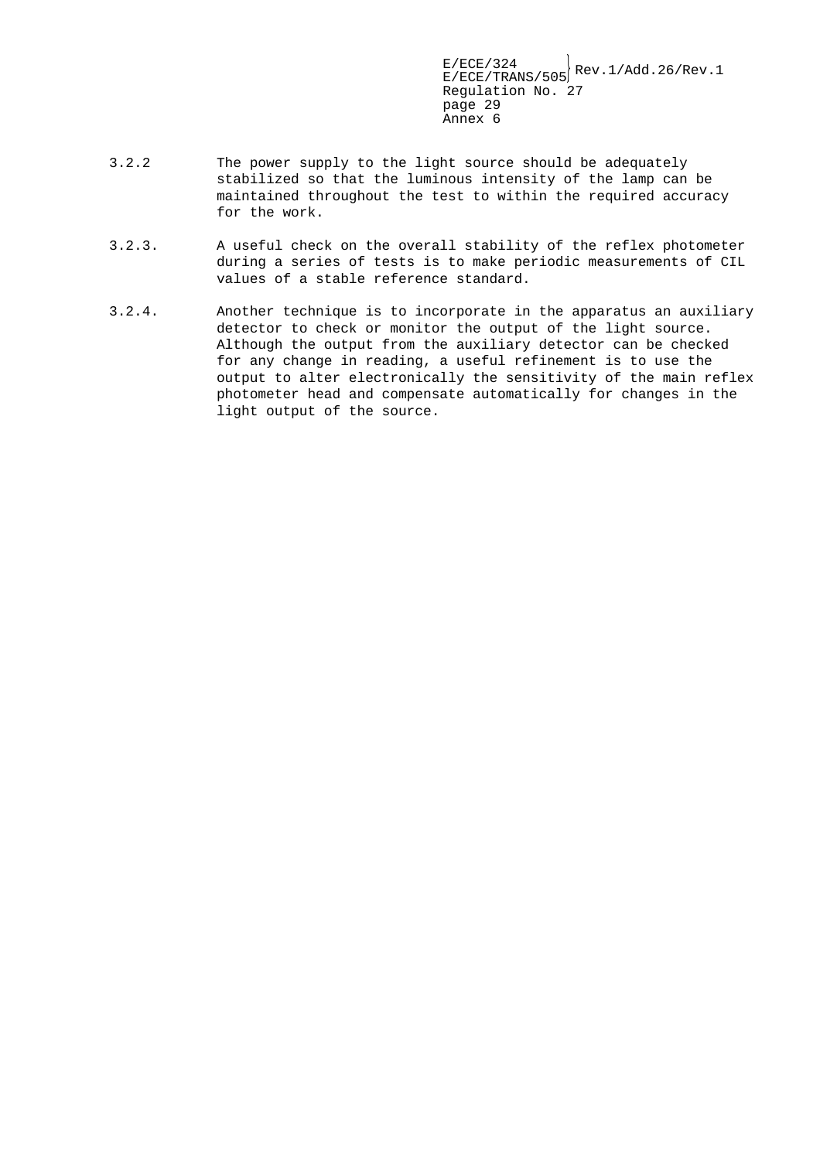- 3.2.2 The power supply to the light source should be adequately stabilized so that the luminous intensity of the lamp can be maintained throughout the test to within the required accuracy for the work.
- 3.2.3. A useful check on the overall stability of the reflex photometer during a series of tests is to make periodic measurements of CIL values of a stable reference standard.
- 3.2.4. Another technique is to incorporate in the apparatus an auxiliary detector to check or monitor the output of the light source. Although the output from the auxiliary detector can be checked for any change in reading, a useful refinement is to use the output to alter electronically the sensitivity of the main reflex photometer head and compensate automatically for changes in the light output of the source.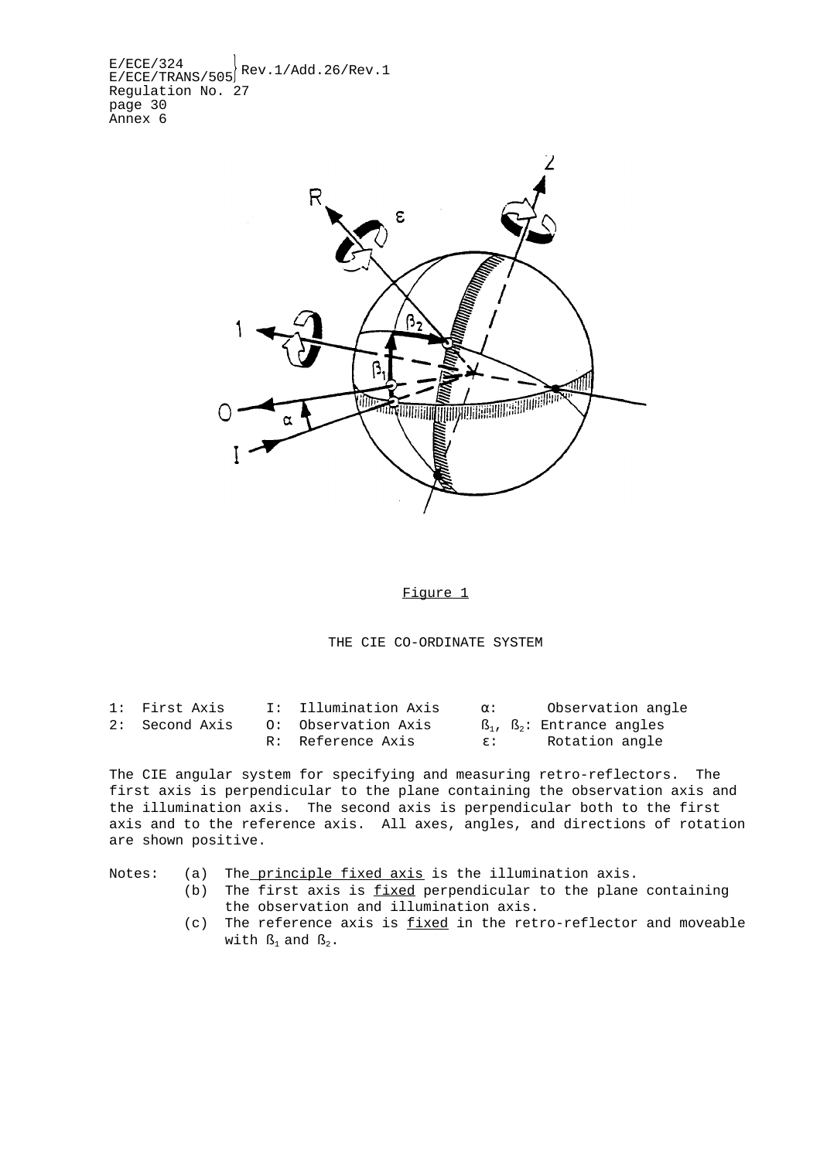$E/ECE/324$ <br> $E/ECE/TRANS/505$ <sup>Rev.1/Add.26/Rev.1</sup> Regulation No. 27 page 30 Annex 6



Figure 1

THE CIE CO-ORDINATE SYSTEM

| 1: First Axis  | I: Illumination Axis | Ω.:          | Observation angle       |
|----------------|----------------------|--------------|-------------------------|
| 2: Second Axis | 0: Observation Axis  |              | ß,, ß,: Entrance angles |
|                | R: Reference Axis    | $\epsilon$ : | Rotation angle          |

The CIE angular system for specifying and measuring retro-reflectors. The first axis is perpendicular to the plane containing the observation axis and the illumination axis. The second axis is perpendicular both to the first axis and to the reference axis. All axes, angles, and directions of rotation are shown positive.

Notes: (a) The principle fixed axis is the illumination axis.

- (b) The first axis is fixed perpendicular to the plane containing the observation and illumination axis.
- (c) The reference axis is fixed in the retro-reflector and moveable with  $\mathcal{B}_1$  and  $\mathcal{B}_2$ .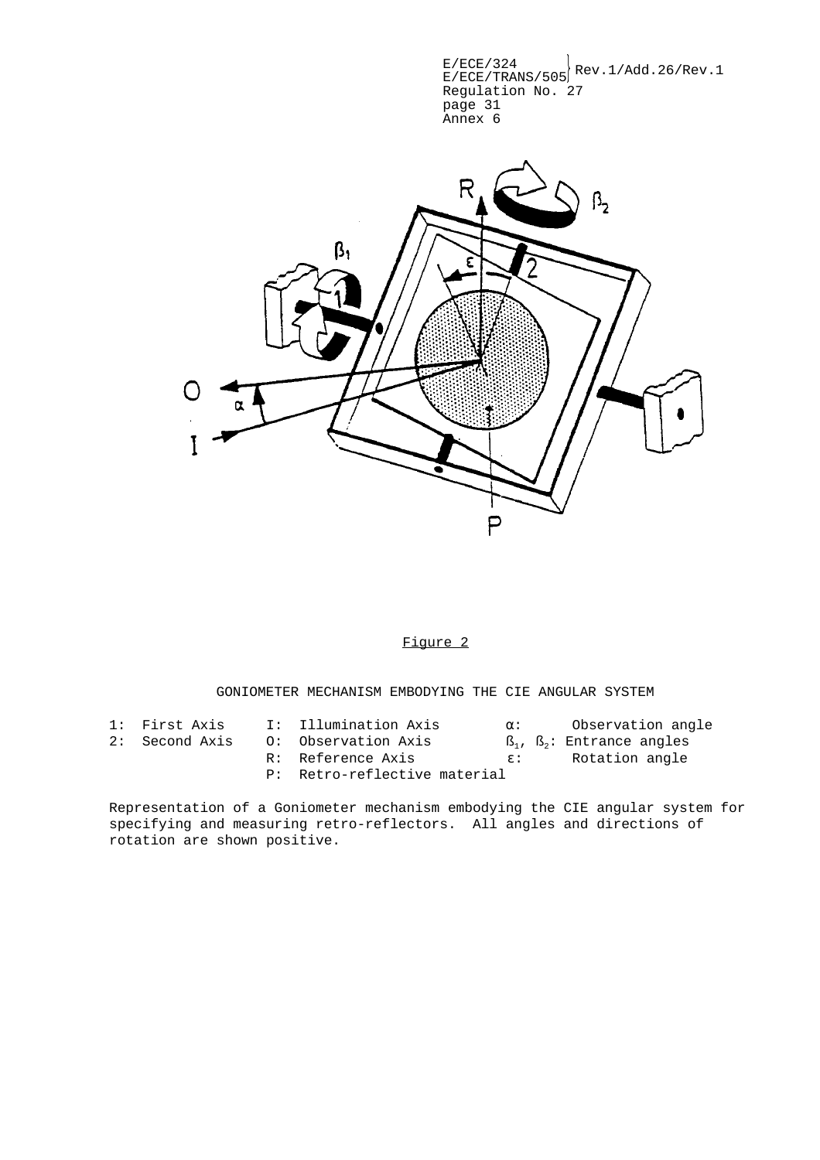$E/ECE/324$ <br> $E/ECE/TRANS/505$ <sup>Rev.1/Add.26/Rev.1</sup> Regulation No. 27 page 31 Annex 6



#### Figure 2

GONIOMETER MECHANISM EMBODYING THE CIE ANGULAR SYSTEM

| 1: First Axis  | I: Illumination Axis         | $\alpha$ :   | Observation angle                                 |
|----------------|------------------------------|--------------|---------------------------------------------------|
| 2: Second Axis | 0: Observation Axis          |              | $\mathbb{S}_1$ , $\mathbb{S}_2$ : Entrance angles |
|                | R: Reference Axis            | $\epsilon$ : | Rotation angle                                    |
|                | P: Retro-reflective material |              |                                                   |

Representation of a Goniometer mechanism embodying the CIE angular system for specifying and measuring retro-reflectors. All angles and directions of rotation are shown positive.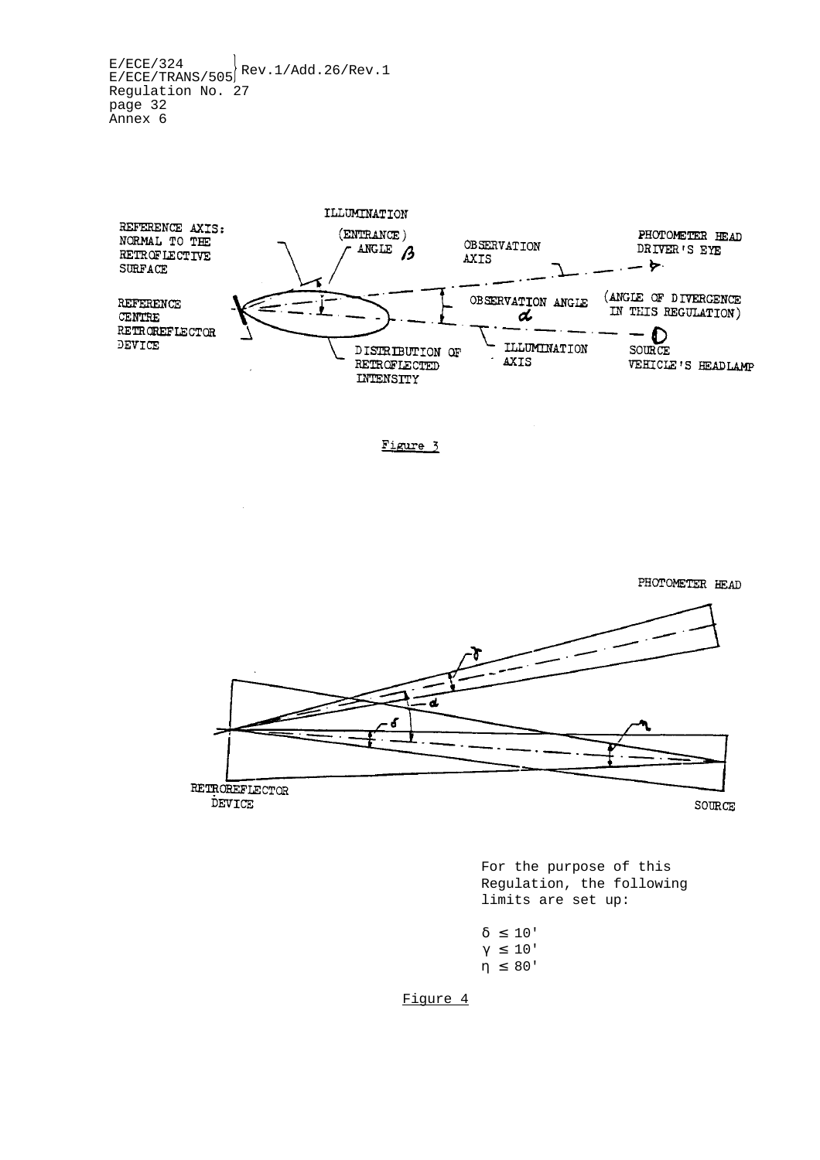$E/ECE/324$ <br>E/ECE/TRANS/505 Rev.1/Add.26/Rev.1 Regulation No. 27 page 32 Annex 6



Figure 3



For the purpose of this Regulation, the following limits are set up:

```
δ ≤ 10'
γ ≤ 10'
η ≤ 80'
```
Figure 4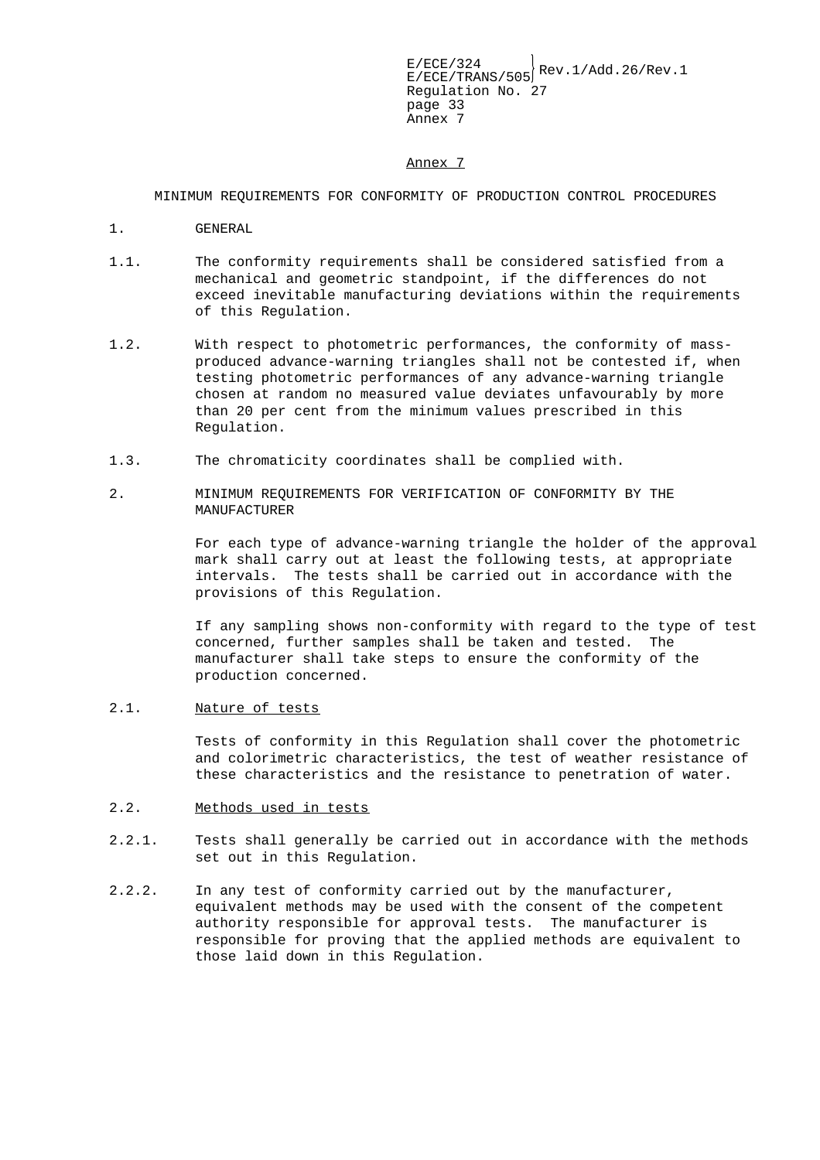Annex 7

MINIMUM REQUIREMENTS FOR CONFORMITY OF PRODUCTION CONTROL PROCEDURES

- 1. GENERAL
- 1.1. The conformity requirements shall be considered satisfied from a mechanical and geometric standpoint, if the differences do not exceed inevitable manufacturing deviations within the requirements of this Regulation.
- 1.2. With respect to photometric performances, the conformity of massproduced advance-warning triangles shall not be contested if, when testing photometric performances of any advance-warning triangle chosen at random no measured value deviates unfavourably by more than 20 per cent from the minimum values prescribed in this Regulation.
- 1.3. The chromaticity coordinates shall be complied with.
- 2. MINIMUM REQUIREMENTS FOR VERIFICATION OF CONFORMITY BY THE MANUFACTURER

For each type of advance-warning triangle the holder of the approval mark shall carry out at least the following tests, at appropriate intervals. The tests shall be carried out in accordance with the provisions of this Regulation.

If any sampling shows non-conformity with regard to the type of test concerned, further samples shall be taken and tested. The manufacturer shall take steps to ensure the conformity of the production concerned.

2.1. Nature of tests

Tests of conformity in this Regulation shall cover the photometric and colorimetric characteristics, the test of weather resistance of these characteristics and the resistance to penetration of water.

- 2.2. Methods used in tests
- 2.2.1. Tests shall generally be carried out in accordance with the methods set out in this Regulation.
- 2.2.2. In any test of conformity carried out by the manufacturer, equivalent methods may be used with the consent of the competent authority responsible for approval tests. The manufacturer is responsible for proving that the applied methods are equivalent to those laid down in this Regulation.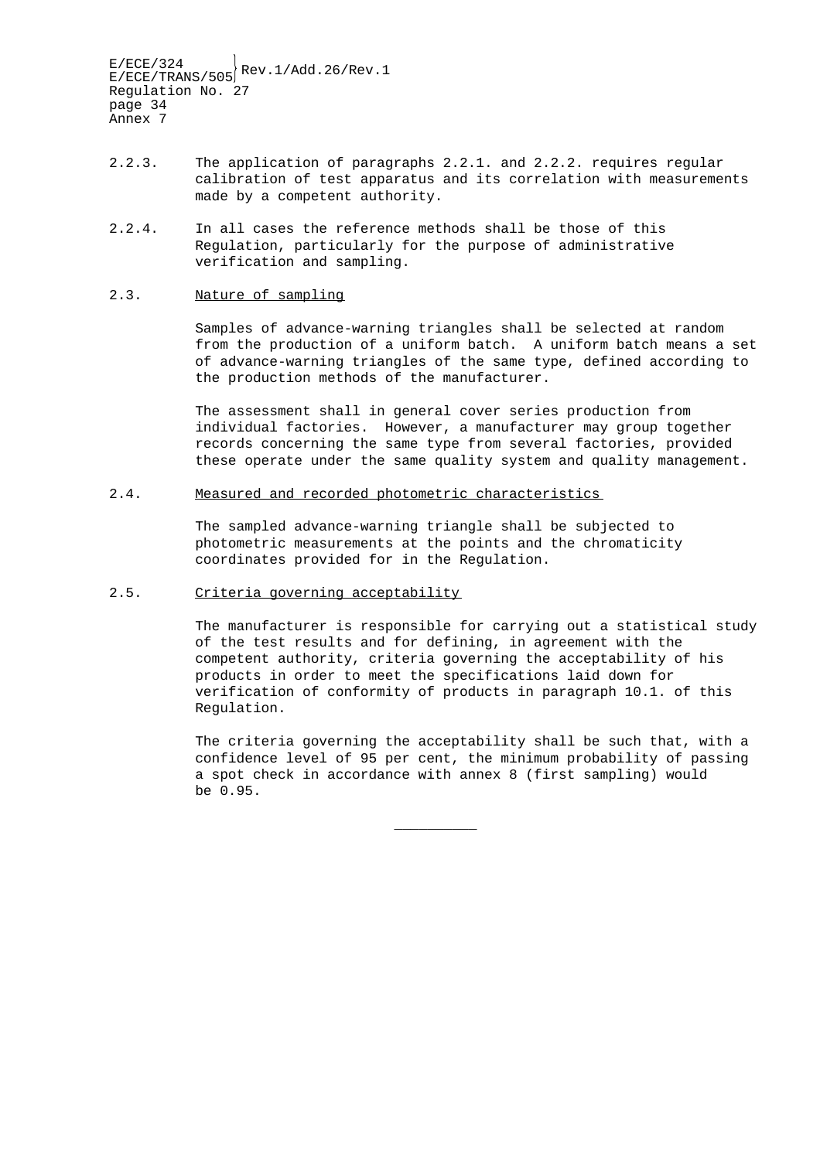- 2.2.3. The application of paragraphs 2.2.1. and 2.2.2. requires regular calibration of test apparatus and its correlation with measurements made by a competent authority.
- 2.2.4. In all cases the reference methods shall be those of this Regulation, particularly for the purpose of administrative verification and sampling.

#### 2.3. Nature of sampling

Samples of advance-warning triangles shall be selected at random from the production of a uniform batch. A uniform batch means a set of advance-warning triangles of the same type, defined according to the production methods of the manufacturer.

The assessment shall in general cover series production from individual factories. However, a manufacturer may group together records concerning the same type from several factories, provided these operate under the same quality system and quality management.

#### 2.4. Measured and recorded photometric characteristics

The sampled advance-warning triangle shall be subjected to photometric measurements at the points and the chromaticity coordinates provided for in the Regulation.

#### 2.5. Criteria governing acceptability

The manufacturer is responsible for carrying out a statistical study of the test results and for defining, in agreement with the competent authority, criteria governing the acceptability of his products in order to meet the specifications laid down for verification of conformity of products in paragraph 10.1. of this Regulation.

The criteria governing the acceptability shall be such that, with a confidence level of 95 per cent, the minimum probability of passing a spot check in accordance with annex 8 (first sampling) would be 0.95.

\_\_\_\_\_\_\_\_\_\_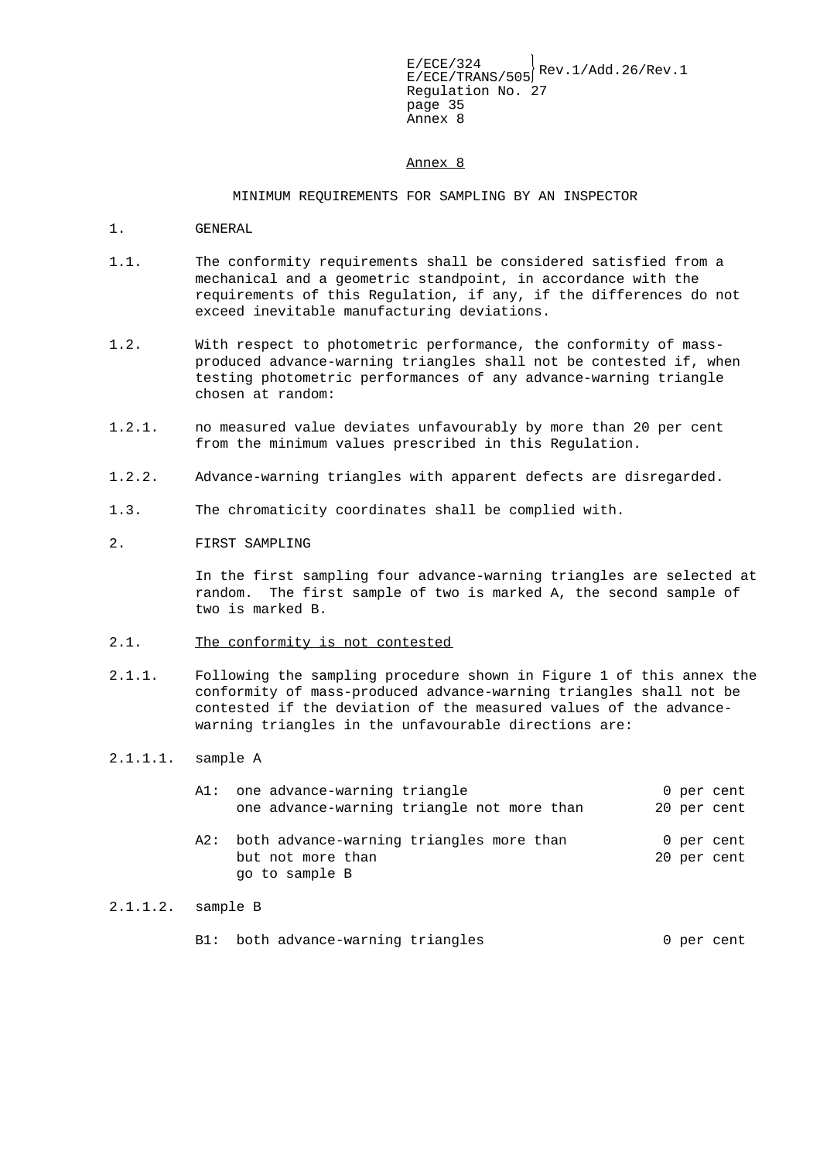Annex 8

#### MINIMUM REQUIREMENTS FOR SAMPLING BY AN INSPECTOR

- 1. GENERAL
- 1.1. The conformity requirements shall be considered satisfied from a mechanical and a geometric standpoint, in accordance with the requirements of this Regulation, if any, if the differences do not exceed inevitable manufacturing deviations.
- 1.2. With respect to photometric performance, the conformity of massproduced advance-warning triangles shall not be contested if, when testing photometric performances of any advance-warning triangle chosen at random:
- 1.2.1. no measured value deviates unfavourably by more than 20 per cent from the minimum values prescribed in this Regulation.
- 1.2.2. Advance-warning triangles with apparent defects are disregarded.
- 1.3. The chromaticity coordinates shall be complied with.
- 2. FIRST SAMPLING

In the first sampling four advance-warning triangles are selected at random. The first sample of two is marked A, the second sample of two is marked B.

- 2.1. The conformity is not contested
- 2.1.1. Following the sampling procedure shown in Figure 1 of this annex the conformity of mass-produced advance-warning triangles shall not be contested if the deviation of the measured values of the advancewarning triangles in the unfavourable directions are:
- 2.1.1.1. sample A

| A1: | one advance-warning triangle                                                    |  | 0 per cent                |
|-----|---------------------------------------------------------------------------------|--|---------------------------|
|     | one advance-warning triangle not more than                                      |  | 20 per cent               |
| A2: | both advance-warning triangles more than<br>but not more than<br>go to sample B |  | 0 per cent<br>20 per cent |

#### 2.1.1.2. sample B

|  |  | B1: both advance-warning triangles |  |  |  | 0 per cent |
|--|--|------------------------------------|--|--|--|------------|
|--|--|------------------------------------|--|--|--|------------|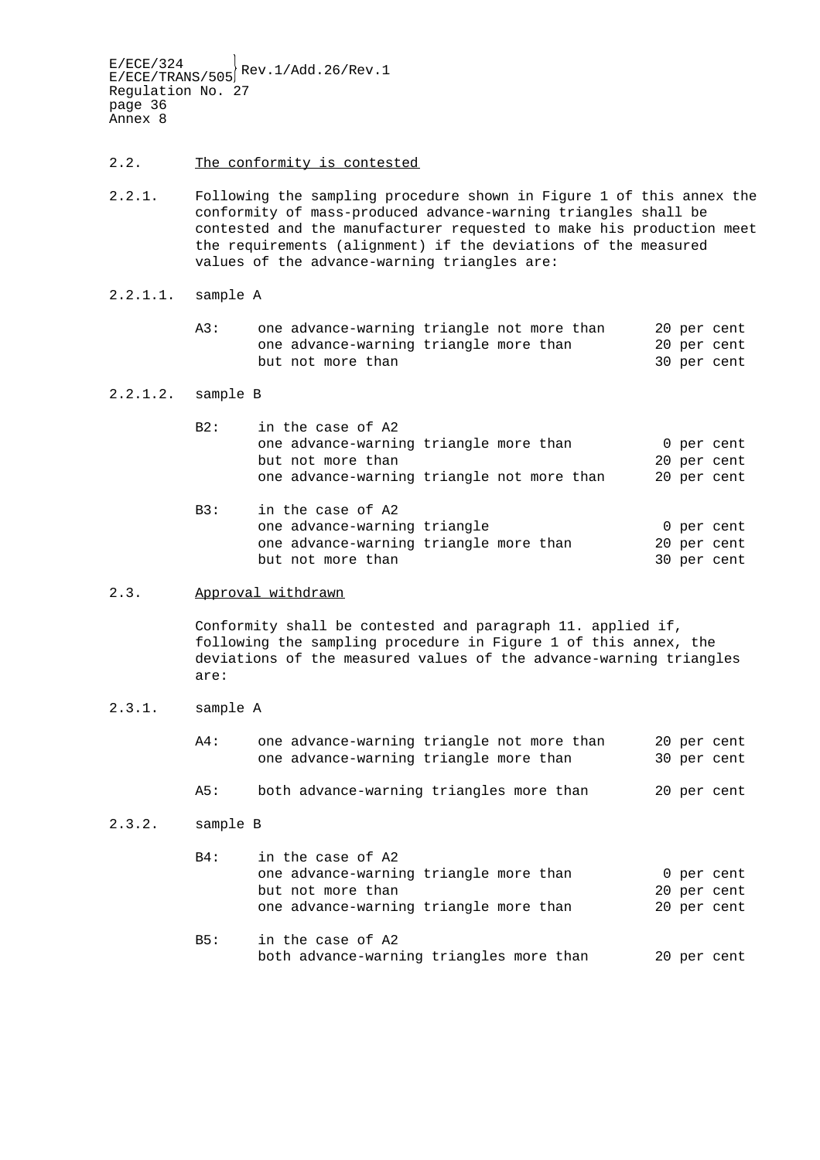- 2.2. The conformity is contested
- 2.2.1. Following the sampling procedure shown in Figure 1 of this annex the conformity of mass-produced advance-warning triangles shall be contested and the manufacturer requested to make his production meet the requirements (alignment) if the deviations of the measured values of the advance-warning triangles are:
- 2.2.1.1. sample A
	- A3: one advance-warning triangle not more than 20 per cent one advance-warning triangle more than 20 per cent but not more than 30 per cent

#### 2.2.1.2. sample B

| B2: | in the case of A2                          |  |  |  |             |
|-----|--------------------------------------------|--|--|--|-------------|
|     | one advance-warning triangle more than     |  |  |  | 0 per cent  |
|     | but not more than                          |  |  |  | 20 per cent |
|     | one advance-warning triangle not more than |  |  |  | 20 per cent |
|     |                                            |  |  |  |             |

B3: in the case of A2 one advance-warning triangle and the control of per cent one advance-warning triangle more than 20 per cent but not more than 30 per cent

#### 2.3. Approval withdrawn

Conformity shall be contested and paragraph 11. applied if, following the sampling procedure in Figure 1 of this annex, the deviations of the measured values of the advance-warning triangles are:

2.3.1. sample A

| $A4$ : | one advance-warning triangle not more than |  |  | 20 per cent |
|--------|--------------------------------------------|--|--|-------------|
|        | one advance-warning triangle more than     |  |  | 30 per cent |
|        |                                            |  |  |             |

A5: both advance-warning triangles more than 20 per cent

#### 2.3.2. sample B

| B4:        | in the case of A2                        |  |             |
|------------|------------------------------------------|--|-------------|
|            | one advance-warning triangle more than   |  | 0 per cent  |
|            | but not more than                        |  | 20 per cent |
|            | one advance-warning triangle more than   |  | 20 per cent |
| <b>B5:</b> | in the case of A2                        |  |             |
|            | both advance-warning triangles more than |  | 20 per cent |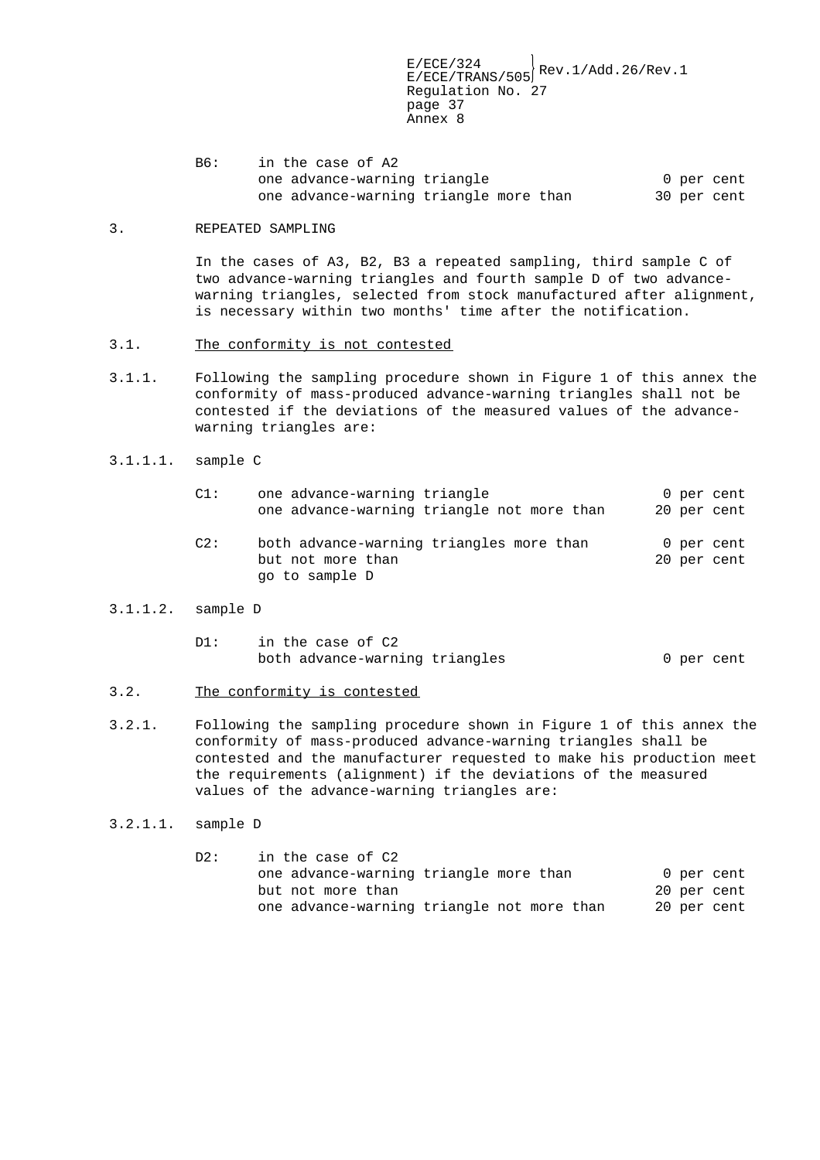B6: in the case of A2 one advance-warning triangle 0 per cent one advance-warning triangle more than 30 per cent

#### 3. REPEATED SAMPLING

In the cases of A3, B2, B3 a repeated sampling, third sample C of two advance-warning triangles and fourth sample D of two advancewarning triangles, selected from stock manufactured after alignment, is necessary within two months' time after the notification.

- 3.1. The conformity is not contested
- 3.1.1. Following the sampling procedure shown in Figure 1 of this annex the conformity of mass-produced advance-warning triangles shall not be contested if the deviations of the measured values of the advancewarning triangles are:
- 3.1.1.1. sample C

| C1: | one advance-warning triangle<br>one advance-warning triangle not more than      |  | 0 per cent<br>20 per cent |
|-----|---------------------------------------------------------------------------------|--|---------------------------|
| C2: | both advance-warning triangles more than<br>but not more than<br>go to sample D |  | 0 per cent<br>20 per cent |

#### 3.1.1.2. sample D

| DI: | in the case of C2              |  |            |
|-----|--------------------------------|--|------------|
|     | both advance-warning triangles |  | 0 per cent |

- 3.2. The conformity is contested
- 3.2.1. Following the sampling procedure shown in Figure 1 of this annex the conformity of mass-produced advance-warning triangles shall be contested and the manufacturer requested to make his production meet the requirements (alignment) if the deviations of the measured values of the advance-warning triangles are:
- 3.2.1.1. sample D

| D2: | in the case of C2                          |  |             |
|-----|--------------------------------------------|--|-------------|
|     | one advance-warning triangle more than     |  | 0 per cent  |
|     | but not more than                          |  | 20 per cent |
|     | one advance-warning triangle not more than |  | 20 per cent |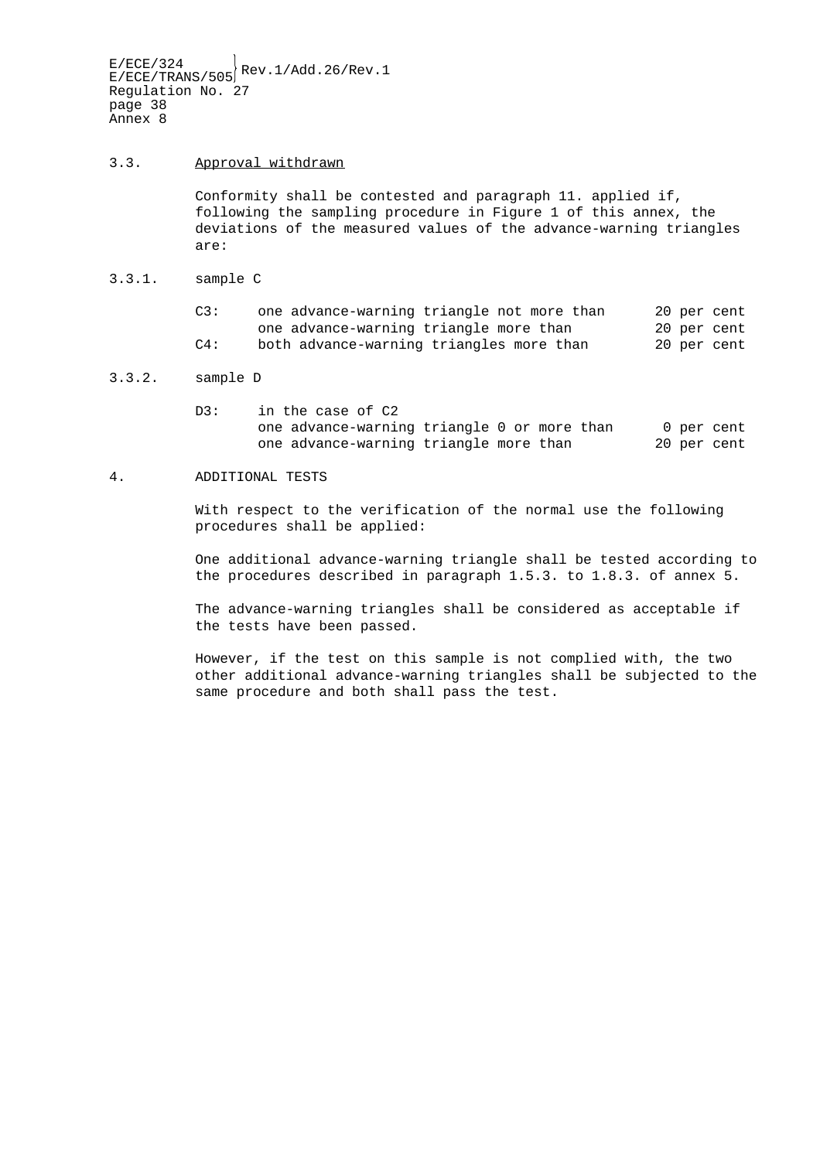#### 3.3. Approval withdrawn

Conformity shall be contested and paragraph 11. applied if, following the sampling procedure in Figure 1 of this annex, the deviations of the measured values of the advance-warning triangles are:

3.3.1. sample C

| C3:    | one advance-warning triangle not more than |  | 20 per cent |
|--------|--------------------------------------------|--|-------------|
|        | one advance-warning triangle more than     |  | 20 per cent |
| $C4$ : | both advance-warning triangles more than   |  | 20 per cent |

#### 3.3.2. sample D

D3: in the case of C2 one advance-warning triangle 0 or more than 0 per cent one advance-warning triangle more than 20 per cent

#### 4. ADDITIONAL TESTS

With respect to the verification of the normal use the following procedures shall be applied:

One additional advance-warning triangle shall be tested according to the procedures described in paragraph 1.5.3. to 1.8.3. of annex 5.

The advance-warning triangles shall be considered as acceptable if the tests have been passed.

However, if the test on this sample is not complied with, the two other additional advance-warning triangles shall be subjected to the same procedure and both shall pass the test.